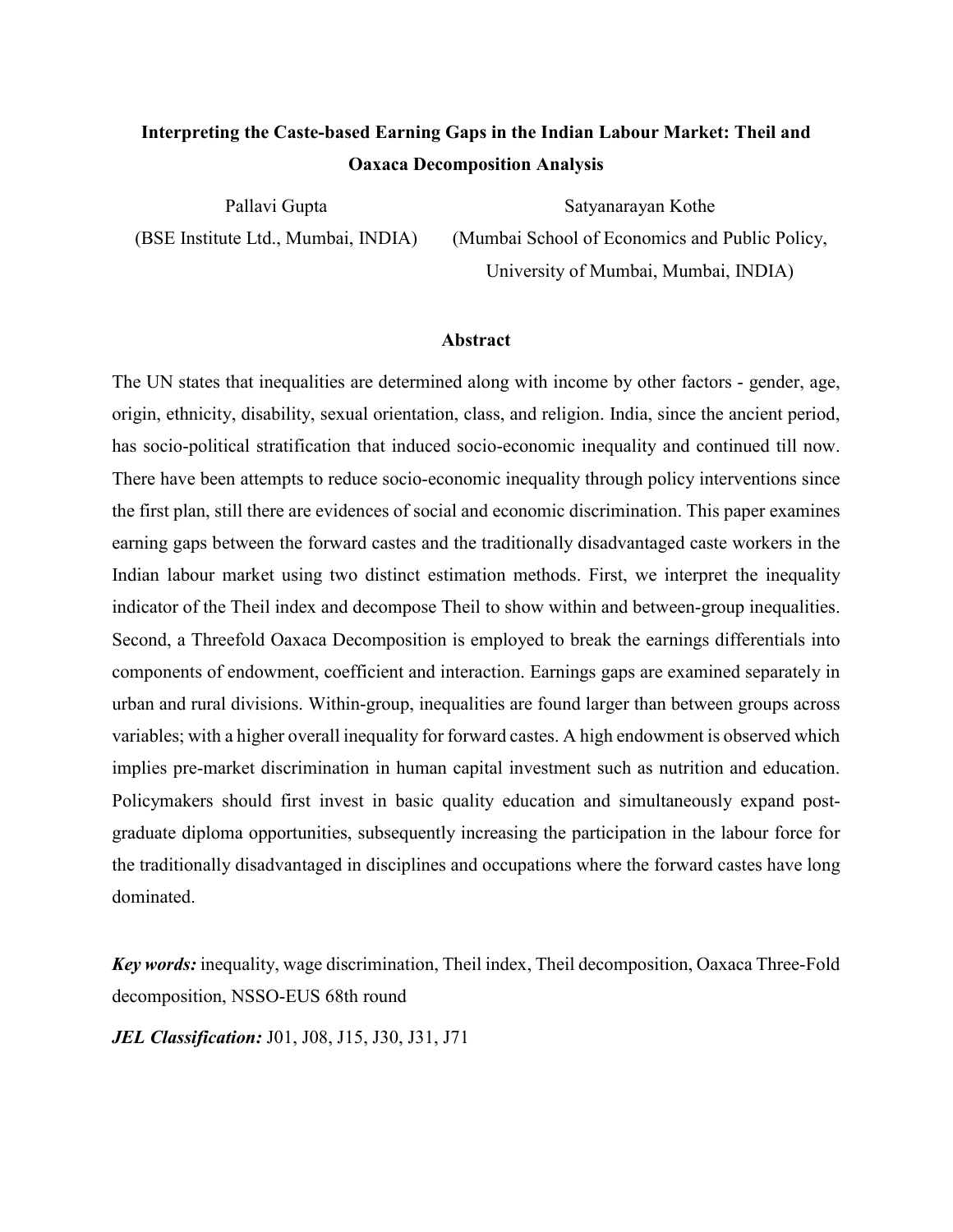# **Interpreting the Caste-based Earning Gaps in the Indian Labour Market: Theil and Oaxaca Decomposition Analysis**

Pallavi Gupta (BSE Institute Ltd., Mumbai, INDIA)

Satyanarayan Kothe (Mumbai School of Economics and Public Policy, University of Mumbai, Mumbai, INDIA)

#### **Abstract**

The UN states that inequalities are determined along with income by other factors - gender, age, origin, ethnicity, disability, sexual orientation, class, and religion. India, since the ancient period, has socio-political stratification that induced socio-economic inequality and continued till now. There have been attempts to reduce socio-economic inequality through policy interventions since the first plan, still there are evidences of social and economic discrimination. This paper examines earning gaps between the forward castes and the traditionally disadvantaged caste workers in the Indian labour market using two distinct estimation methods. First, we interpret the inequality indicator of the Theil index and decompose Theil to show within and between-group inequalities. Second, a Threefold Oaxaca Decomposition is employed to break the earnings differentials into components of endowment, coefficient and interaction. Earnings gaps are examined separately in urban and rural divisions. Within-group, inequalities are found larger than between groups across variables; with a higher overall inequality for forward castes. A high endowment is observed which implies pre-market discrimination in human capital investment such as nutrition and education. Policymakers should first invest in basic quality education and simultaneously expand postgraduate diploma opportunities, subsequently increasing the participation in the labour force for the traditionally disadvantaged in disciplines and occupations where the forward castes have long dominated.

*Key words:* inequality, wage discrimination, Theil index, Theil decomposition, Oaxaca Three-Fold decomposition, NSSO-EUS 68th round

*JEL Classification:* J01, J08, J15, J30, J31, J71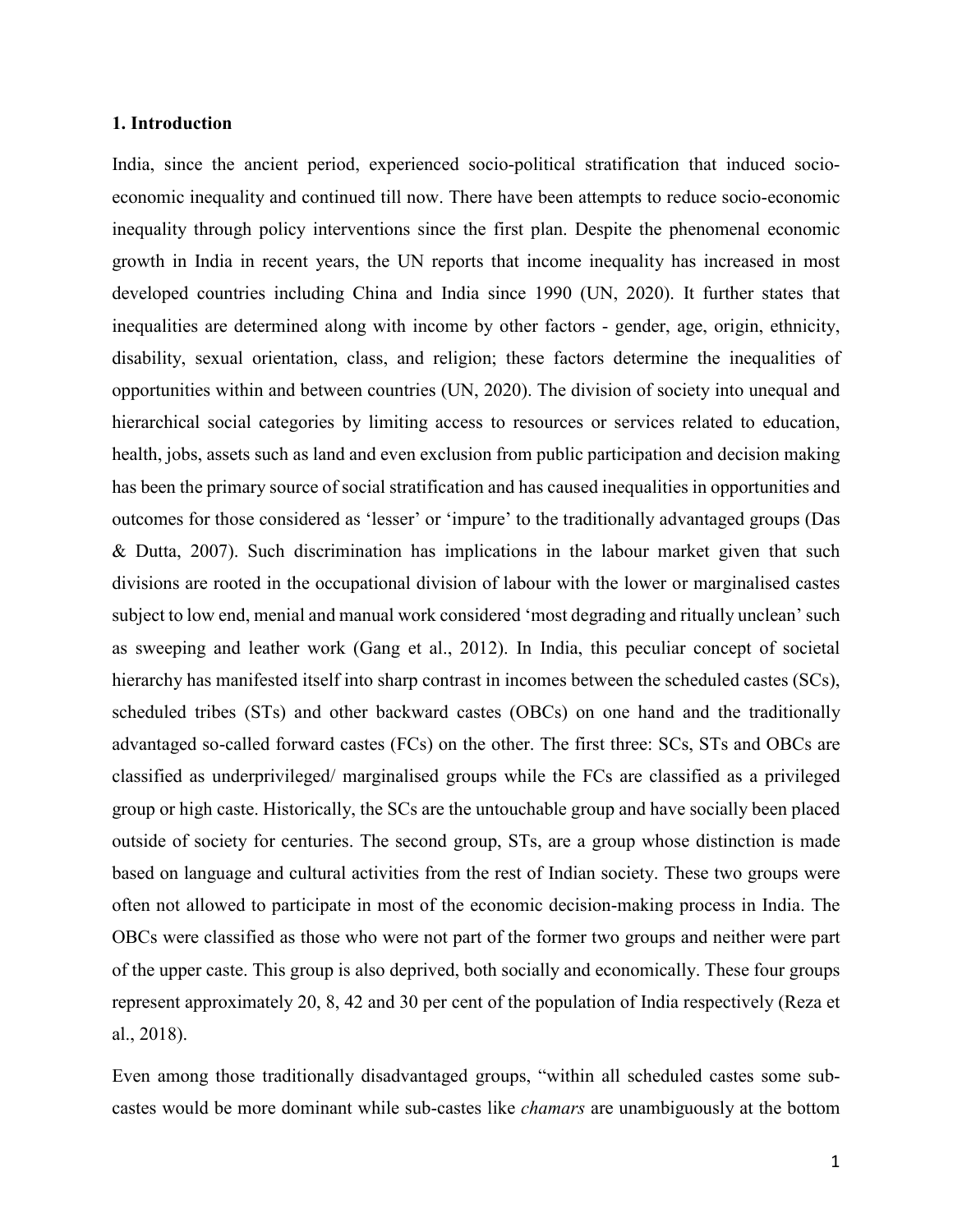## **1. Introduction**

India, since the ancient period, experienced socio-political stratification that induced socioeconomic inequality and continued till now. There have been attempts to reduce socio-economic inequality through policy interventions since the first plan. Despite the phenomenal economic growth in India in recent years, the UN reports that income inequality has increased in most developed countries including China and India since 1990 (UN, 2020). It further states that inequalities are determined along with income by other factors - gender, age, origin, ethnicity, disability, sexual orientation, class, and religion; these factors determine the inequalities of opportunities within and between countries (UN, 2020). The division of society into unequal and hierarchical social categories by limiting access to resources or services related to education, health, jobs, assets such as land and even exclusion from public participation and decision making has been the primary source of social stratification and has caused inequalities in opportunities and outcomes for those considered as 'lesser' or 'impure' to the traditionally advantaged groups (Das & Dutta, 2007). Such discrimination has implications in the labour market given that such divisions are rooted in the occupational division of labour with the lower or marginalised castes subject to low end, menial and manual work considered 'most degrading and ritually unclean' such as sweeping and leather work (Gang et al., 2012). In India, this peculiar concept of societal hierarchy has manifested itself into sharp contrast in incomes between the scheduled castes (SCs), scheduled tribes (STs) and other backward castes (OBCs) on one hand and the traditionally advantaged so-called forward castes (FCs) on the other. The first three: SCs, STs and OBCs are classified as underprivileged/ marginalised groups while the FCs are classified as a privileged group or high caste. Historically, the SCs are the untouchable group and have socially been placed outside of society for centuries. The second group, STs, are a group whose distinction is made based on language and cultural activities from the rest of Indian society. These two groups were often not allowed to participate in most of the economic decision-making process in India. The OBCs were classified as those who were not part of the former two groups and neither were part of the upper caste. This group is also deprived, both socially and economically. These four groups represent approximately 20, 8, 42 and 30 per cent of the population of India respectively (Reza et al., 2018).

Even among those traditionally disadvantaged groups, "within all scheduled castes some subcastes would be more dominant while sub-castes like *chamars* are unambiguously at the bottom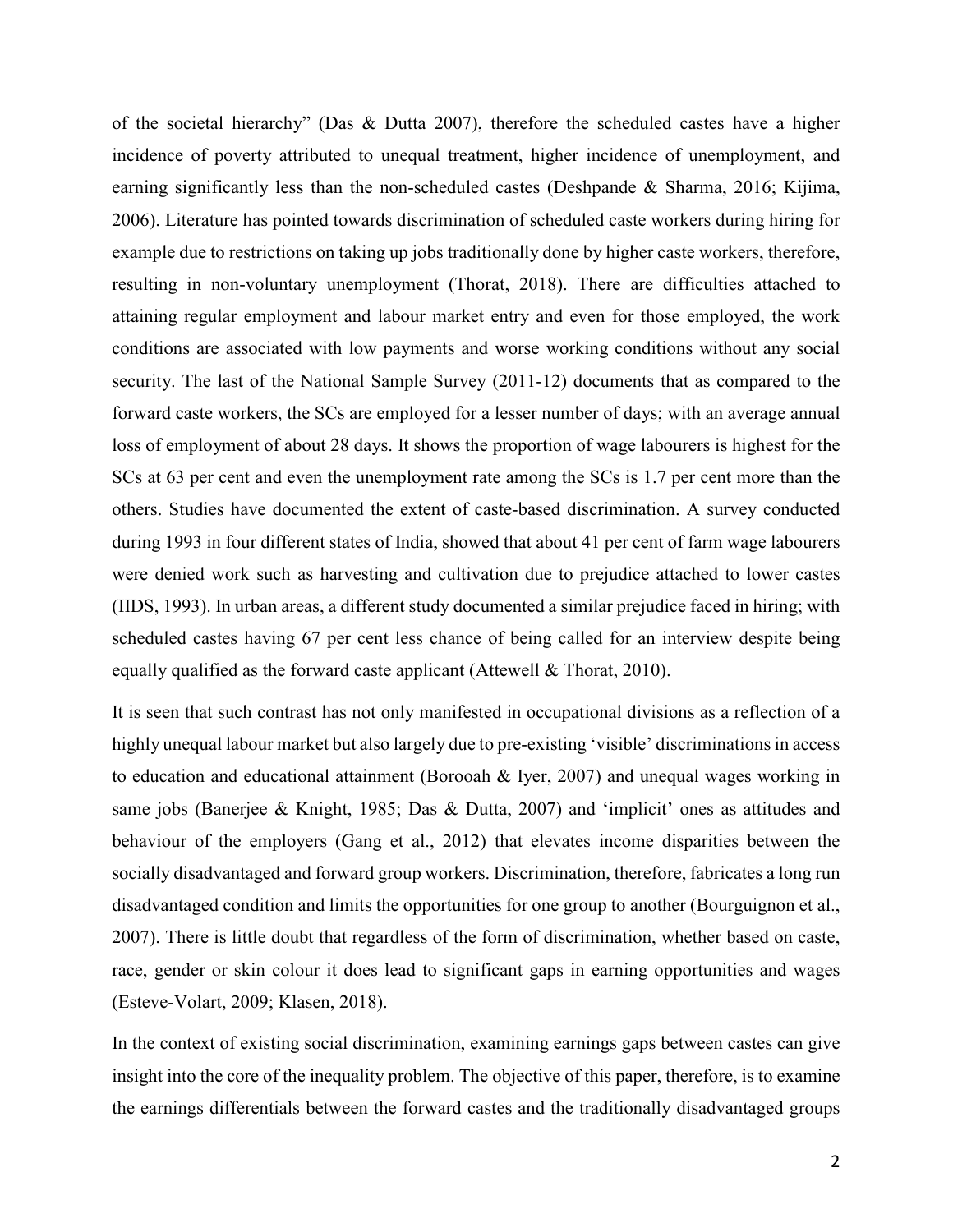of the societal hierarchy" (Das & Dutta 2007), therefore the scheduled castes have a higher incidence of poverty attributed to unequal treatment, higher incidence of unemployment, and earning significantly less than the non-scheduled castes (Deshpande & Sharma, 2016; Kijima, 2006). Literature has pointed towards discrimination of scheduled caste workers during hiring for example due to restrictions on taking up jobs traditionally done by higher caste workers, therefore, resulting in non-voluntary unemployment (Thorat, 2018). There are difficulties attached to attaining regular employment and labour market entry and even for those employed, the work conditions are associated with low payments and worse working conditions without any social security. The last of the National Sample Survey (2011-12) documents that as compared to the forward caste workers, the SCs are employed for a lesser number of days; with an average annual loss of employment of about 28 days. It shows the proportion of wage labourers is highest for the SCs at 63 per cent and even the unemployment rate among the SCs is 1.7 per cent more than the others. Studies have documented the extent of caste-based discrimination. A survey conducted during 1993 in four different states of India, showed that about 41 per cent of farm wage labourers were denied work such as harvesting and cultivation due to prejudice attached to lower castes (IIDS, 1993). In urban areas, a different study documented a similar prejudice faced in hiring; with scheduled castes having 67 per cent less chance of being called for an interview despite being equally qualified as the forward caste applicant (Attewell & Thorat, 2010).

It is seen that such contrast has not only manifested in occupational divisions as a reflection of a highly unequal labour market but also largely due to pre-existing 'visible' discriminations in access to education and educational attainment (Borooah & Iyer, 2007) and unequal wages working in same jobs (Banerjee & Knight, 1985; Das & Dutta, 2007) and 'implicit' ones as attitudes and behaviour of the employers (Gang et al., 2012) that elevates income disparities between the socially disadvantaged and forward group workers. Discrimination, therefore, fabricates a long run disadvantaged condition and limits the opportunities for one group to another (Bourguignon et al., 2007). There is little doubt that regardless of the form of discrimination, whether based on caste, race, gender or skin colour it does lead to significant gaps in earning opportunities and wages (Esteve-Volart, 2009; Klasen, 2018).

In the context of existing social discrimination, examining earnings gaps between castes can give insight into the core of the inequality problem. The objective of this paper, therefore, is to examine the earnings differentials between the forward castes and the traditionally disadvantaged groups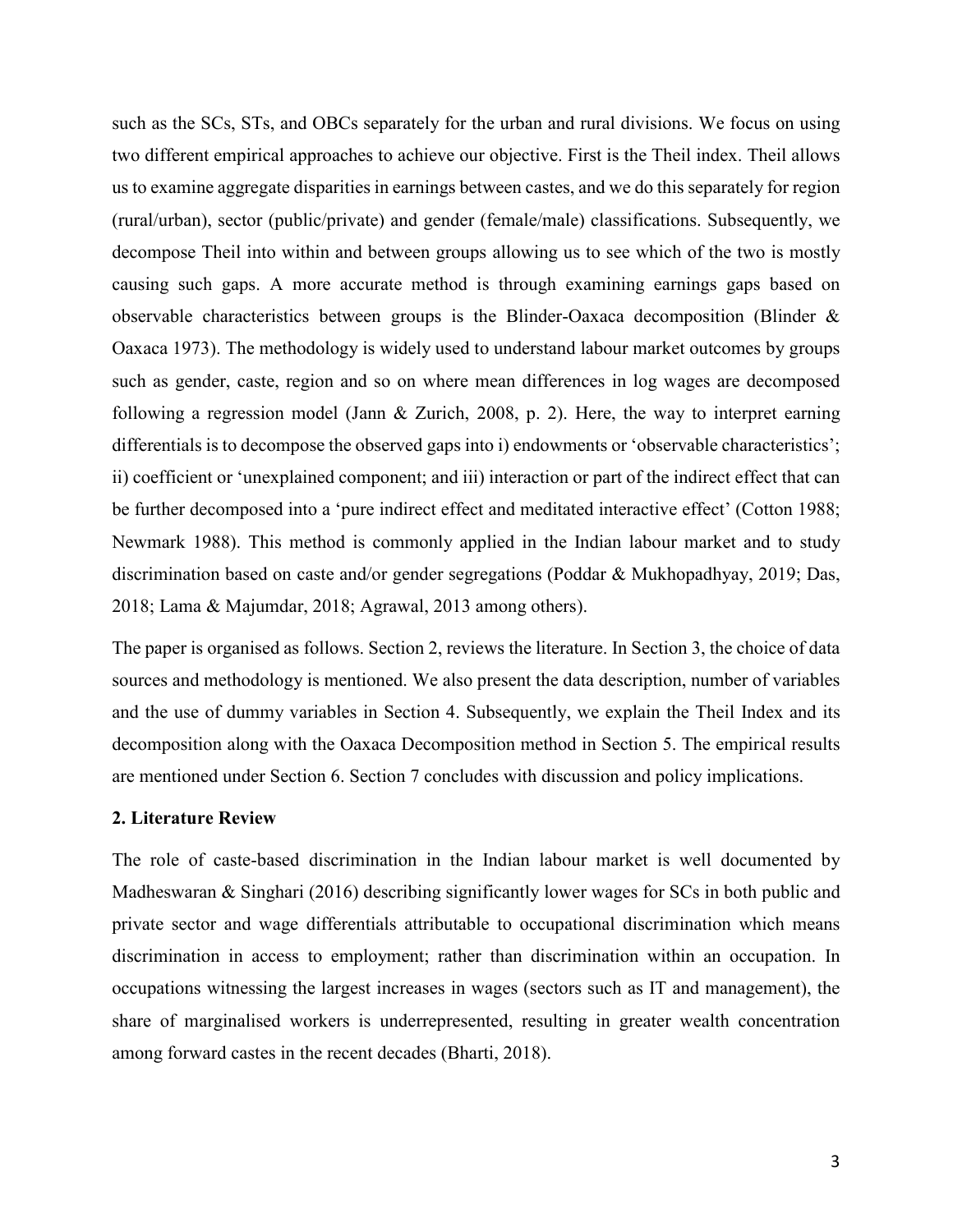such as the SCs, STs, and OBCs separately for the urban and rural divisions. We focus on using two different empirical approaches to achieve our objective. First is the Theil index. Theil allows us to examine aggregate disparities in earnings between castes, and we do this separately for region (rural/urban), sector (public/private) and gender (female/male) classifications. Subsequently, we decompose Theil into within and between groups allowing us to see which of the two is mostly causing such gaps. A more accurate method is through examining earnings gaps based on observable characteristics between groups is the Blinder-Oaxaca decomposition (Blinder & Oaxaca 1973). The methodology is widely used to understand labour market outcomes by groups such as gender, caste, region and so on where mean differences in log wages are decomposed following a regression model (Jann & Zurich, 2008, p. 2). Here, the way to interpret earning differentials is to decompose the observed gaps into i) endowments or 'observable characteristics'; ii) coefficient or 'unexplained component; and iii) interaction or part of the indirect effect that can be further decomposed into a 'pure indirect effect and meditated interactive effect' (Cotton 1988; Newmark 1988). This method is commonly applied in the Indian labour market and to study discrimination based on caste and/or gender segregations (Poddar & Mukhopadhyay, 2019; Das, 2018; Lama & Majumdar, 2018; Agrawal, 2013 among others).

The paper is organised as follows. Section 2, reviews the literature. In Section 3, the choice of data sources and methodology is mentioned. We also present the data description, number of variables and the use of dummy variables in Section 4. Subsequently, we explain the Theil Index and its decomposition along with the Oaxaca Decomposition method in Section 5. The empirical results are mentioned under Section 6. Section 7 concludes with discussion and policy implications.

## **2. Literature Review**

The role of caste-based discrimination in the Indian labour market is well documented by Madheswaran & Singhari (2016) describing significantly lower wages for SCs in both public and private sector and wage differentials attributable to occupational discrimination which means discrimination in access to employment; rather than discrimination within an occupation. In occupations witnessing the largest increases in wages (sectors such as IT and management), the share of marginalised workers is underrepresented, resulting in greater wealth concentration among forward castes in the recent decades (Bharti, 2018).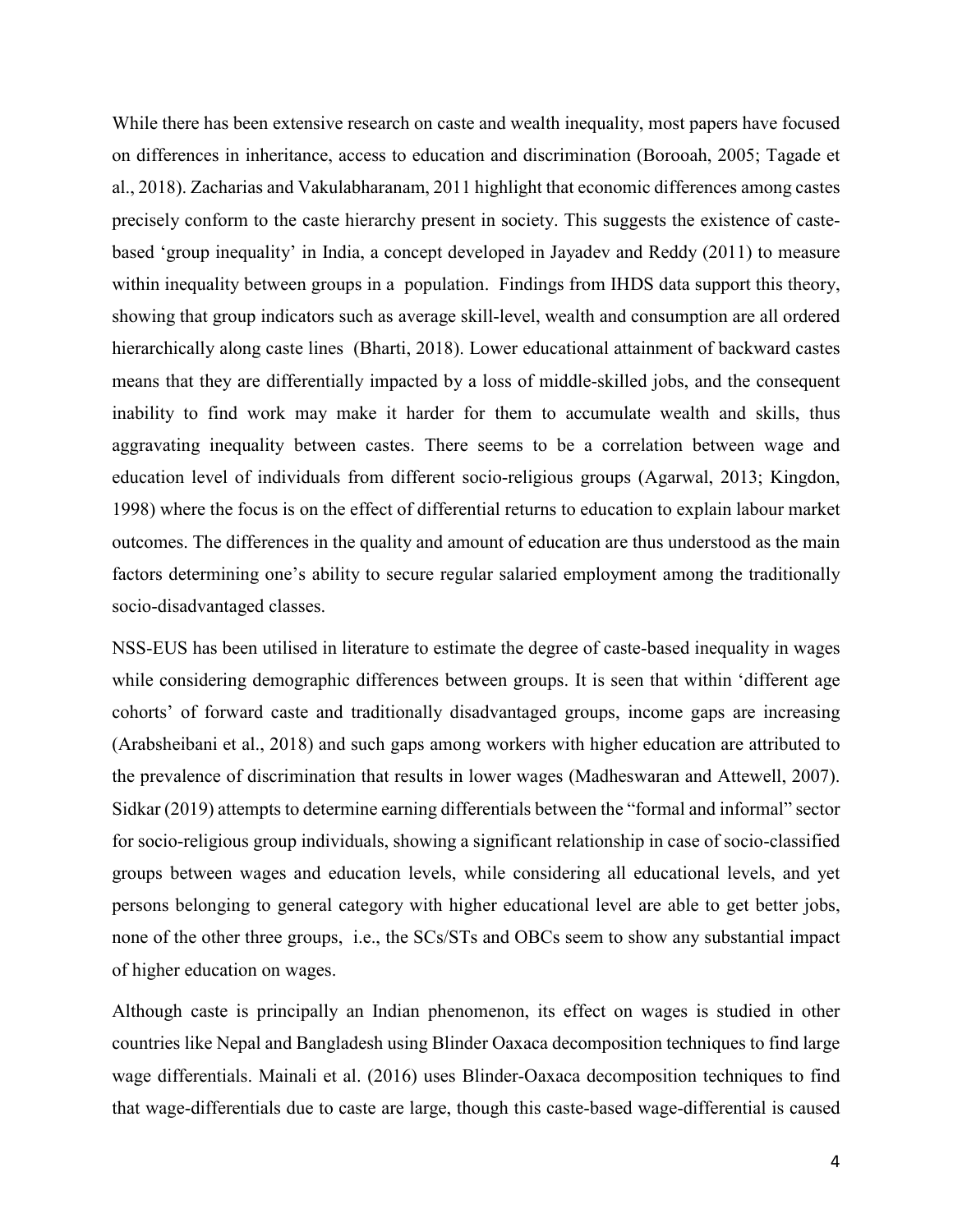While there has been extensive research on caste and wealth inequality, most papers have focused on differences in inheritance, access to education and discrimination (Borooah, 2005; Tagade et al., 2018). Zacharias and Vakulabharanam, 2011 highlight that economic differences among castes precisely conform to the caste hierarchy present in society. This suggests the existence of castebased 'group inequality' in India, a concept developed in Jayadev and Reddy (2011) to measure within inequality between groups in a population. Findings from IHDS data support this theory, showing that group indicators such as average skill-level, wealth and consumption are all ordered hierarchically along caste lines (Bharti, 2018). Lower educational attainment of backward castes means that they are differentially impacted by a loss of middle-skilled jobs, and the consequent inability to find work may make it harder for them to accumulate wealth and skills, thus aggravating inequality between castes. There seems to be a correlation between wage and education level of individuals from different socio-religious groups (Agarwal, 2013; Kingdon, 1998) where the focus is on the effect of differential returns to education to explain labour market outcomes. The differences in the quality and amount of education are thus understood as the main factors determining one's ability to secure regular salaried employment among the traditionally socio-disadvantaged classes.

NSS-EUS has been utilised in literature to estimate the degree of caste-based inequality in wages while considering demographic differences between groups. It is seen that within 'different age cohorts' of forward caste and traditionally disadvantaged groups, income gaps are increasing (Arabsheibani et al., 2018) and such gaps among workers with higher education are attributed to the prevalence of discrimination that results in lower wages (Madheswaran and Attewell, 2007). Sidkar (2019) attempts to determine earning differentials between the "formal and informal" sector for socio-religious group individuals, showing a significant relationship in case of socio-classified groups between wages and education levels, while considering all educational levels, and yet persons belonging to general category with higher educational level are able to get better jobs, none of the other three groups, i.e., the SCs/STs and OBCs seem to show any substantial impact of higher education on wages.

Although caste is principally an Indian phenomenon, its effect on wages is studied in other countries like Nepal and Bangladesh using Blinder Oaxaca decomposition techniques to find large wage differentials. Mainali et al. (2016) uses Blinder-Oaxaca decomposition techniques to find that wage-differentials due to caste are large, though this caste-based wage-differential is caused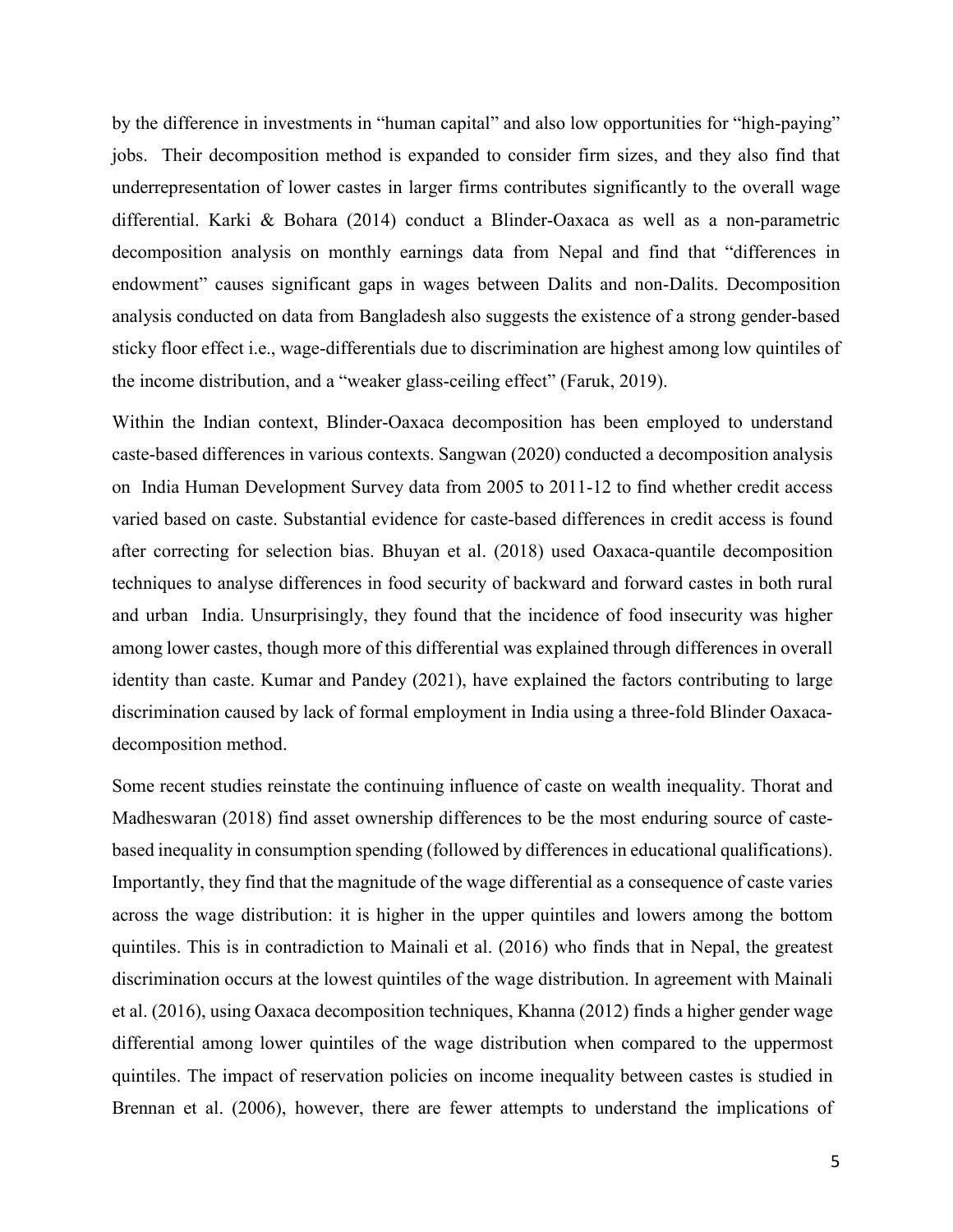by the difference in investments in "human capital" and also low opportunities for "high-paying" jobs. Their decomposition method is expanded to consider firm sizes, and they also find that underrepresentation of lower castes in larger firms contributes significantly to the overall wage differential. Karki & Bohara (2014) conduct a Blinder-Oaxaca as well as a non-parametric decomposition analysis on monthly earnings data from Nepal and find that "differences in endowment" causes significant gaps in wages between Dalits and non-Dalits. Decomposition analysis conducted on data from Bangladesh also suggests the existence of a strong gender-based sticky floor effect i.e., wage-differentials due to discrimination are highest among low quintiles of the income distribution, and a "weaker glass-ceiling effect" (Faruk, 2019).

Within the Indian context, Blinder-Oaxaca decomposition has been employed to understand caste-based differences in various contexts. Sangwan (2020) conducted a decomposition analysis on India Human Development Survey data from 2005 to 2011-12 to find whether credit access varied based on caste. Substantial evidence for caste-based differences in credit access is found after correcting for selection bias. Bhuyan et al. (2018) used Oaxaca-quantile decomposition techniques to analyse differences in food security of backward and forward castes in both rural and urban India. Unsurprisingly, they found that the incidence of food insecurity was higher among lower castes, though more of this differential was explained through differences in overall identity than caste. Kumar and Pandey (2021), have explained the factors contributing to large discrimination caused by lack of formal employment in India using a three-fold Blinder Oaxacadecomposition method.

Some recent studies reinstate the continuing influence of caste on wealth inequality. Thorat and Madheswaran (2018) find asset ownership differences to be the most enduring source of castebased inequality in consumption spending (followed by differences in educational qualifications). Importantly, they find that the magnitude of the wage differential as a consequence of caste varies across the wage distribution: it is higher in the upper quintiles and lowers among the bottom quintiles. This is in contradiction to Mainali et al. (2016) who finds that in Nepal, the greatest discrimination occurs at the lowest quintiles of the wage distribution. In agreement with Mainali et al. (2016), using Oaxaca decomposition techniques, Khanna (2012) finds a higher gender wage differential among lower quintiles of the wage distribution when compared to the uppermost quintiles. The impact of reservation policies on income inequality between castes is studied in Brennan et al. (2006), however, there are fewer attempts to understand the implications of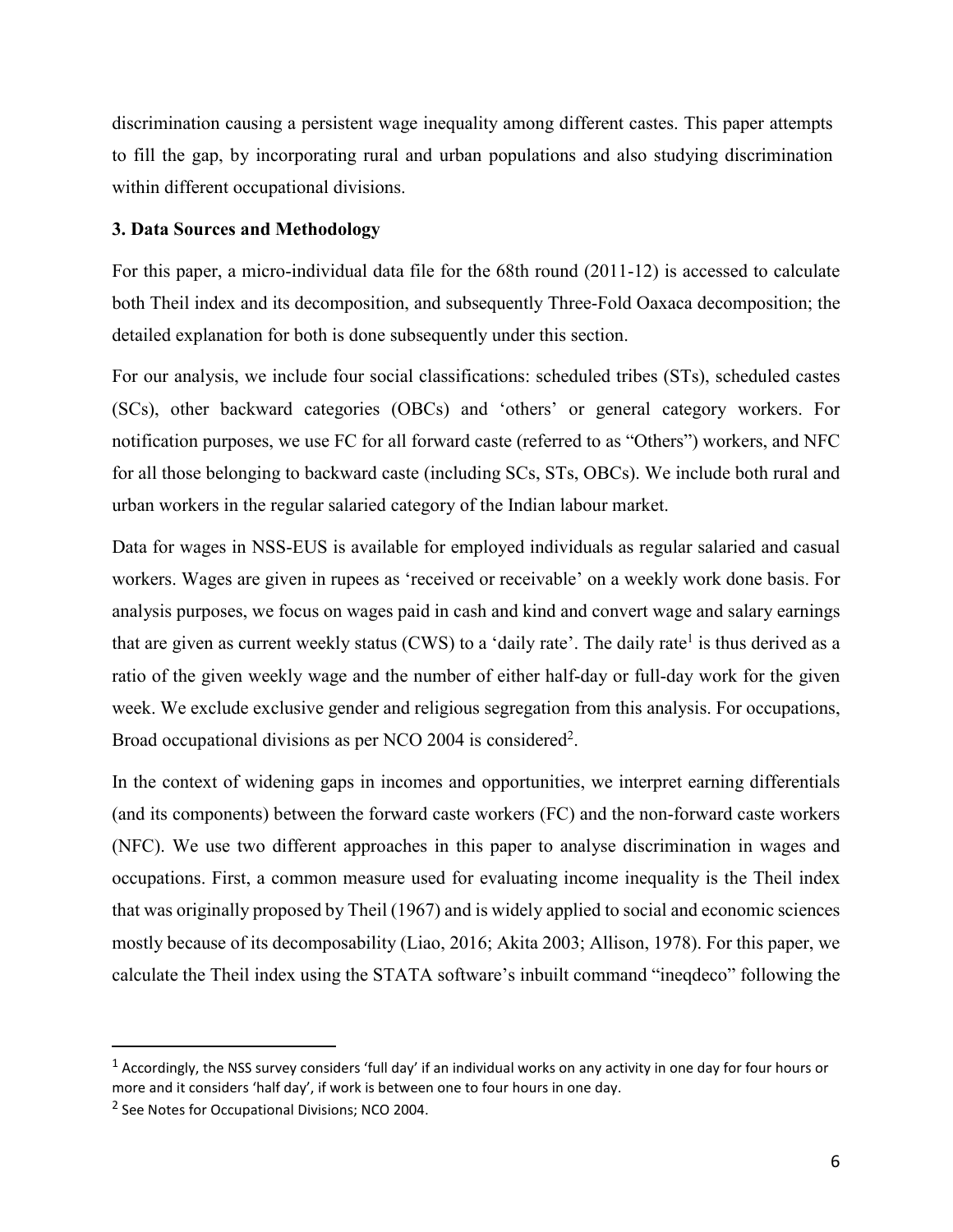discrimination causing a persistent wage inequality among different castes. This paper attempts to fill the gap, by incorporating rural and urban populations and also studying discrimination within different occupational divisions.

## **3. Data Sources and Methodology**

For this paper, a micro-individual data file for the 68th round (2011-12) is accessed to calculate both Theil index and its decomposition, and subsequently Three-Fold Oaxaca decomposition; the detailed explanation for both is done subsequently under this section.

For our analysis, we include four social classifications: scheduled tribes (STs), scheduled castes (SCs), other backward categories (OBCs) and 'others' or general category workers. For notification purposes, we use FC for all forward caste (referred to as "Others") workers, and NFC for all those belonging to backward caste (including SCs, STs, OBCs). We include both rural and urban workers in the regular salaried category of the Indian labour market.

Data for wages in NSS-EUS is available for employed individuals as regular salaried and casual workers. Wages are given in rupees as 'received or receivable' on a weekly work done basis. For analysis purposes, we focus on wages paid in cash and kind and convert wage and salary earnings that are given as current weekly status (CWS) to a 'daily rate'. The daily rate<sup>1</sup> is thus derived as a ratio of the given weekly wage and the number of either half-day or full-day work for the given week. We exclude exclusive gender and religious segregation from this analysis. For occupations, Broad occupational divisions as per NCO 2004 is considered<sup>2</sup>.

In the context of widening gaps in incomes and opportunities, we interpret earning differentials (and its components) between the forward caste workers (FC) and the non-forward caste workers (NFC). We use two different approaches in this paper to analyse discrimination in wages and occupations. First, a common measure used for evaluating income inequality is the Theil index that was originally proposed by Theil (1967) and is widely applied to social and economic sciences mostly because of its decomposability (Liao, 2016; Akita 2003; Allison, 1978). For this paper, we calculate the Theil index using the STATA software's inbuilt command "ineqdeco" following the

1

 $^1$  Accordingly, the NSS survey considers 'full day' if an individual works on any activity in one day for four hours or more and it considers 'half day', if work is between one to four hours in one day.

<sup>&</sup>lt;sup>2</sup> See Notes for Occupational Divisions; NCO 2004.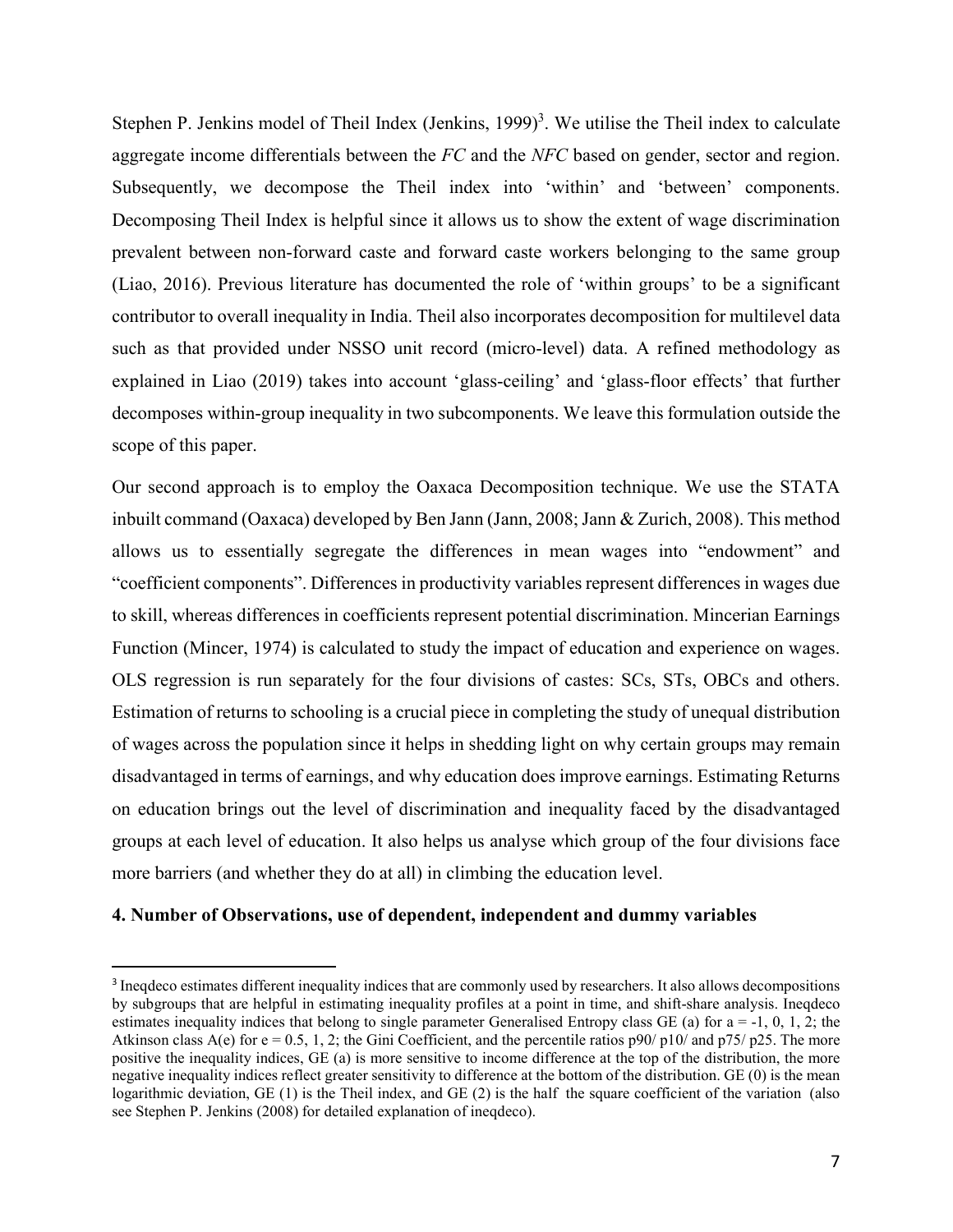Stephen P. Jenkins model of Theil Index (Jenkins, 1999)<sup>3</sup>. We utilise the Theil index to calculate aggregate income differentials between the *FC* and the *NFC* based on gender, sector and region. Subsequently, we decompose the Theil index into 'within' and 'between' components. Decomposing Theil Index is helpful since it allows us to show the extent of wage discrimination prevalent between non-forward caste and forward caste workers belonging to the same group (Liao, 2016). Previous literature has documented the role of 'within groups' to be a significant contributor to overall inequality in India. Theil also incorporates decomposition for multilevel data such as that provided under NSSO unit record (micro-level) data. A refined methodology as explained in Liao (2019) takes into account 'glass-ceiling' and 'glass-floor effects' that further decomposes within-group inequality in two subcomponents. We leave this formulation outside the scope of this paper.

Our second approach is to employ the Oaxaca Decomposition technique. We use the STATA inbuilt command (Oaxaca) developed by Ben Jann (Jann, 2008; Jann & Zurich, 2008). This method allows us to essentially segregate the differences in mean wages into "endowment" and "coefficient components". Differences in productivity variables represent differences in wages due to skill, whereas differences in coefficients represent potential discrimination. Mincerian Earnings Function (Mincer, 1974) is calculated to study the impact of education and experience on wages. OLS regression is run separately for the four divisions of castes: SCs, STs, OBCs and others. Estimation of returns to schooling is a crucial piece in completing the study of unequal distribution of wages across the population since it helps in shedding light on why certain groups may remain disadvantaged in terms of earnings, and why education does improve earnings. Estimating Returns on education brings out the level of discrimination and inequality faced by the disadvantaged groups at each level of education. It also helps us analyse which group of the four divisions face more barriers (and whether they do at all) in climbing the education level.

## **4. Number of Observations, use of dependent, independent and dummy variables**

.

<sup>&</sup>lt;sup>3</sup> Ineqdeco estimates different inequality indices that are commonly used by researchers. It also allows decompositions by subgroups that are helpful in estimating inequality profiles at a point in time, and shift-share analysis. Ineqdeco estimates inequality indices that belong to single parameter Generalised Entropy class GE (a) for  $a = -1, 0, 1, 2$ ; the Atkinson class A(e) for  $e = 0.5, 1, 2$ ; the Gini Coefficient, and the percentile ratios p90/ p10/ and p75/ p25. The more positive the inequality indices, GE (a) is more sensitive to income difference at the top of the distribution, the more negative inequality indices reflect greater sensitivity to difference at the bottom of the distribution. GE (0) is the mean logarithmic deviation, GE (1) is the Theil index, and GE (2) is the half the square coefficient of the variation (also see Stephen P. Jenkins (2008) for detailed explanation of ineqdeco).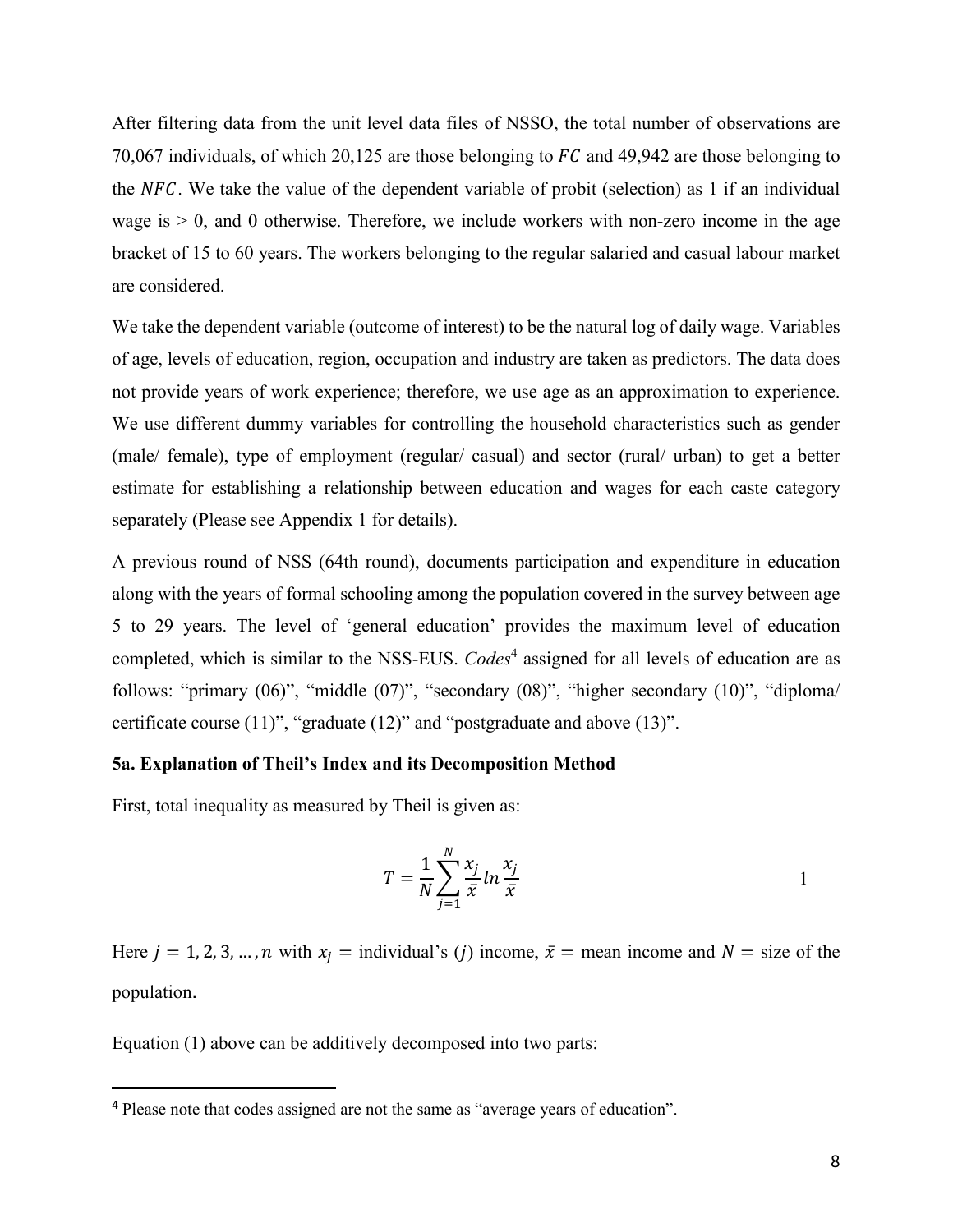After filtering data from the unit level data files of NSSO, the total number of observations are 70,067 individuals, of which 20,125 are those belonging to  $FC$  and 49,942 are those belonging to the NFC. We take the value of the dependent variable of probit (selection) as 1 if an individual wage is  $> 0$ , and 0 otherwise. Therefore, we include workers with non-zero income in the age bracket of 15 to 60 years. The workers belonging to the regular salaried and casual labour market are considered.

We take the dependent variable (outcome of interest) to be the natural log of daily wage. Variables of age, levels of education, region, occupation and industry are taken as predictors. The data does not provide years of work experience; therefore, we use age as an approximation to experience. We use different dummy variables for controlling the household characteristics such as gender (male/ female), type of employment (regular/ casual) and sector (rural/ urban) to get a better estimate for establishing a relationship between education and wages for each caste category separately (Please see Appendix 1 for details).

A previous round of NSS (64th round), documents participation and expenditure in education along with the years of formal schooling among the population covered in the survey between age 5 to 29 years. The level of 'general education' provides the maximum level of education completed, which is similar to the NSS-EUS. *Codes*<sup>4</sup> assigned for all levels of education are as follows: "primary (06)", "middle (07)", "secondary (08)", "higher secondary (10)", "diploma/ certificate course (11)", "graduate (12)" and "postgraduate and above (13)".

## **5a. Explanation of Theil's Index and its Decomposition Method**

First, total inequality as measured by Theil is given as:

$$
T = \frac{1}{N} \sum_{j=1}^{N} \frac{x_j}{\bar{x}} \ln \frac{x_j}{\bar{x}}
$$

Here  $j = 1, 2, 3, ..., n$  with  $x_i =$  individual's (*j*) income,  $\bar{x} =$  mean income and  $N =$  size of the population.

Equation (1) above can be additively decomposed into two parts:

.

<sup>4</sup> Please note that codes assigned are not the same as "average years of education".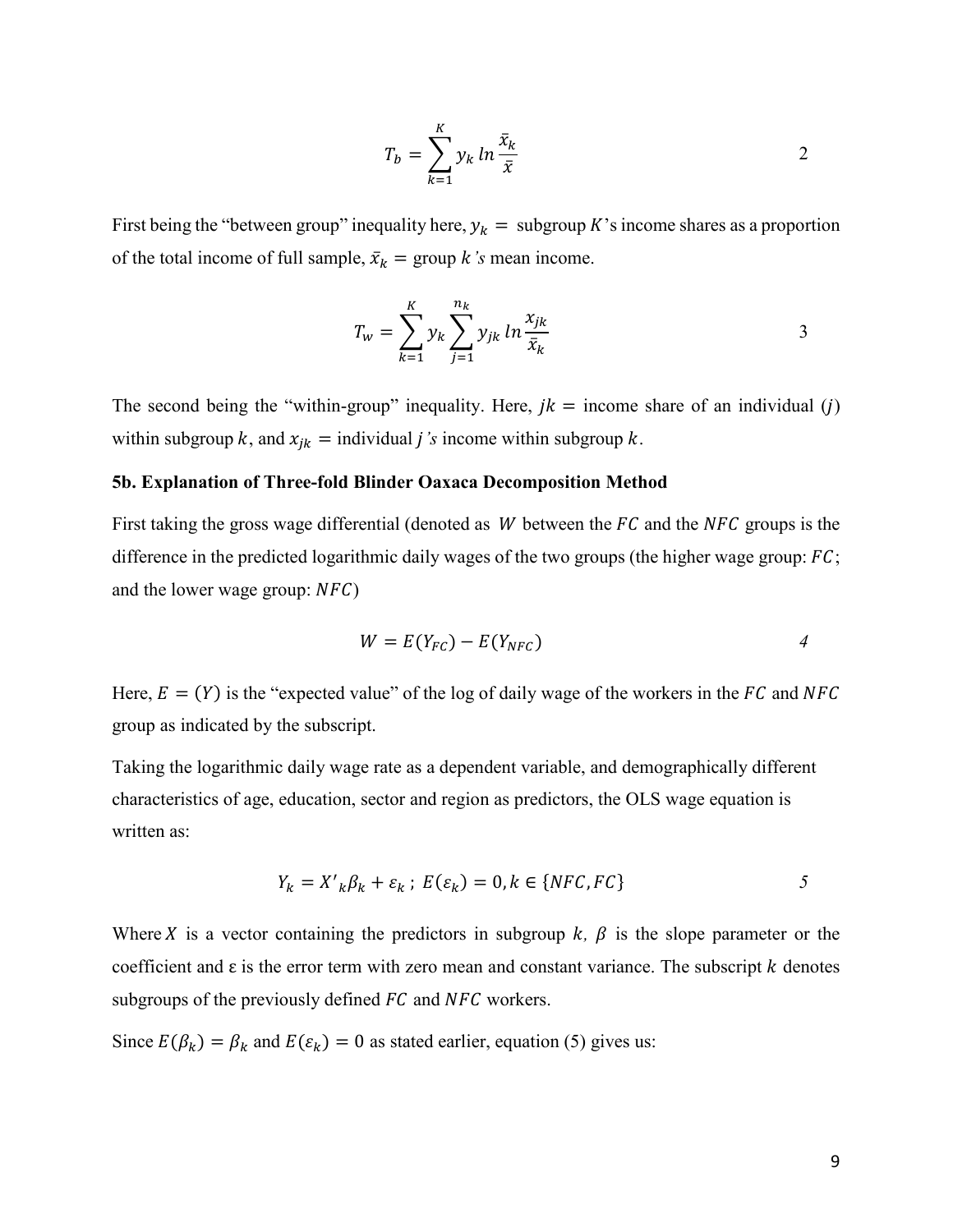$$
T_b = \sum_{k=1}^{K} y_k \ln \frac{\bar{x}_k}{\bar{x}}
$$

First being the "between group" inequality here,  $y_k =$  subgroup K's income shares as a proportion of the total income of full sample,  $\bar{x}_k$  = group *k*'s mean income.

$$
T_{w} = \sum_{k=1}^{K} y_{k} \sum_{j=1}^{n_{k}} y_{jk} \ln \frac{x_{jk}}{\bar{x}_{k}}
$$

The second being the "within-group" inequality. Here,  $jk =$  income share of an individual (j) within subgroup k, and  $x_{jk}$  = individual *j*'s income within subgroup k.

#### **5b. Explanation of Three-fold Blinder Oaxaca Decomposition Method**

First taking the gross wage differential (denoted as  $W$  between the  $FC$  and the  $NFC$  groups is the difference in the predicted logarithmic daily wages of the two groups (the higher wage group:  $FC$ ; and the lower wage group:  $NFC$ )

$$
W = E(Y_{FC}) - E(Y_{NFC})
$$
 4

Here,  $E = (Y)$  is the "expected value" of the log of daily wage of the workers in the FC and NFC group as indicated by the subscript.

Taking the logarithmic daily wage rate as a dependent variable, and demographically different characteristics of age, education, sector and region as predictors, the OLS wage equation is written as:

$$
Y_k = X'_{k} \beta_k + \varepsilon_k; \ E(\varepsilon_k) = 0, k \in \{NFC, FC\} \tag{5}
$$

Where X is a vector containing the predictors in subgroup  $k$ ,  $\beta$  is the slope parameter or the coefficient and  $\varepsilon$  is the error term with zero mean and constant variance. The subscript  $k$  denotes subgroups of the previously defined  $FC$  and  $NFC$  workers.

Since  $E(\beta_k) = \beta_k$  and  $E(\varepsilon_k) = 0$  as stated earlier, equation (5) gives us: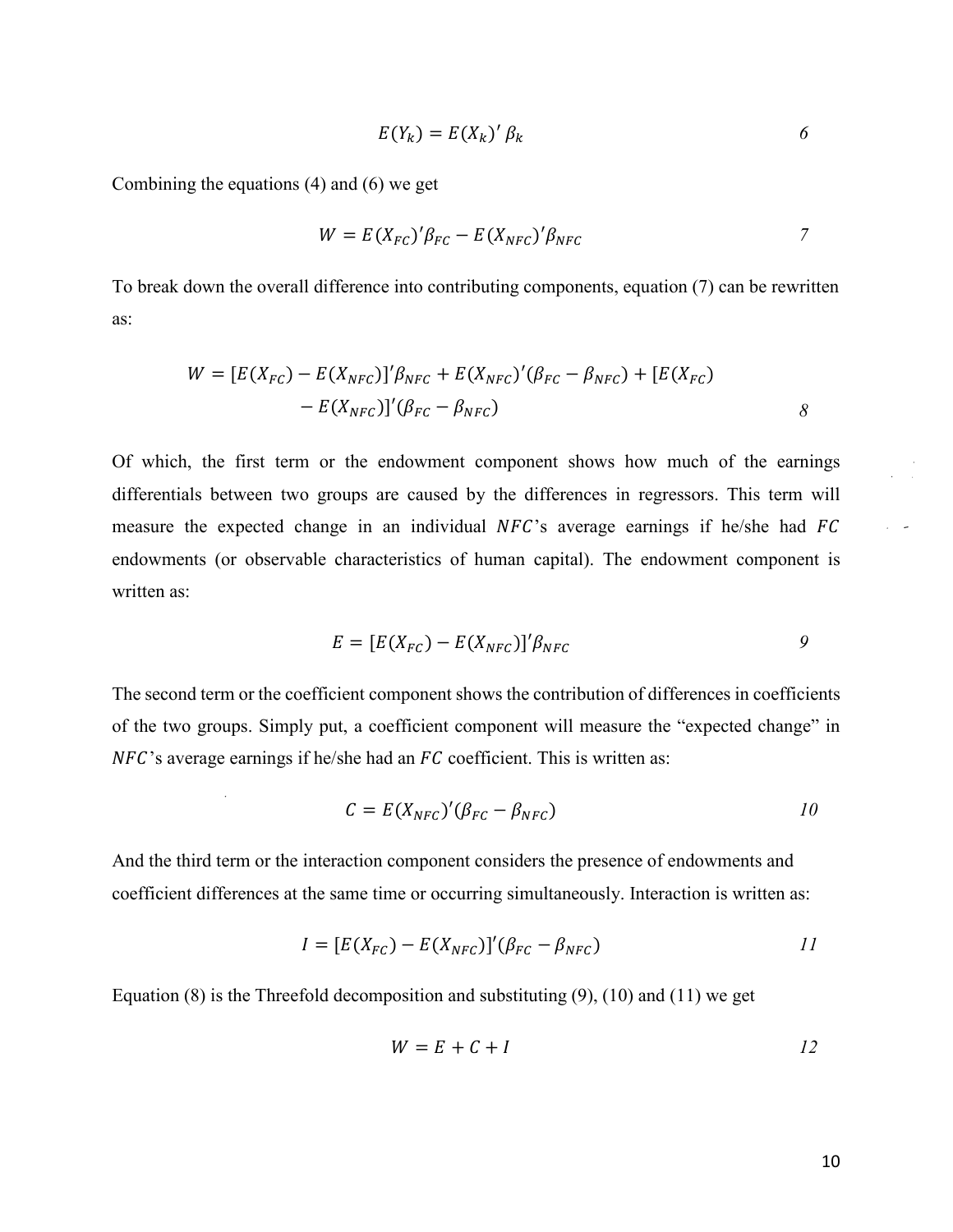$$
E(Y_k) = E(X_k)' \beta_k \tag{6}
$$

Combining the equations (4) and (6) we get

 $\overline{a}$ 

$$
W = E(X_{FC})'\beta_{FC} - E(X_{NFC})'\beta_{NFC}
$$

To break down the overall difference into contributing components, equation (7) can be rewritten as:

$$
W = [E(X_{FC}) - E(X_{NFC})]' \beta_{NFC} + E(X_{NFC})' (\beta_{FC} - \beta_{NFC}) + [E(X_{FC}) - E(X_{NFC})]' (\beta_{FC} - \beta_{NFC})
$$
 8

Of which, the first term or the endowment component shows how much of the earnings differentials between two groups are caused by the differences in regressors. This term will measure the expected change in an individual  $NFC$ 's average earnings if he/she had  $FC$ endowments (or observable characteristics of human capital). The endowment component is written as:

$$
E = [E(X_{FC}) - E(X_{NFC})]' \beta_{NFC}
$$
 9

The second term or the coefficient component shows the contribution of differences in coefficients of the two groups. Simply put, a coefficient component will measure the "expected change" in  $NFC$ 's average earnings if he/she had an  $FC$  coefficient. This is written as:

$$
C = E(X_{NFC})'(\beta_{FC} - \beta_{NFC})
$$

And the third term or the interaction component considers the presence of endowments and coefficient differences at the same time or occurring simultaneously. Interaction is written as:

$$
I = [E(X_{FC}) - E(X_{NFC})]'(\beta_{FC} - \beta_{NFC})
$$

Equation (8) is the Threefold decomposition and substituting (9), (10) and (11) we get

$$
W = E + C + I \tag{12}
$$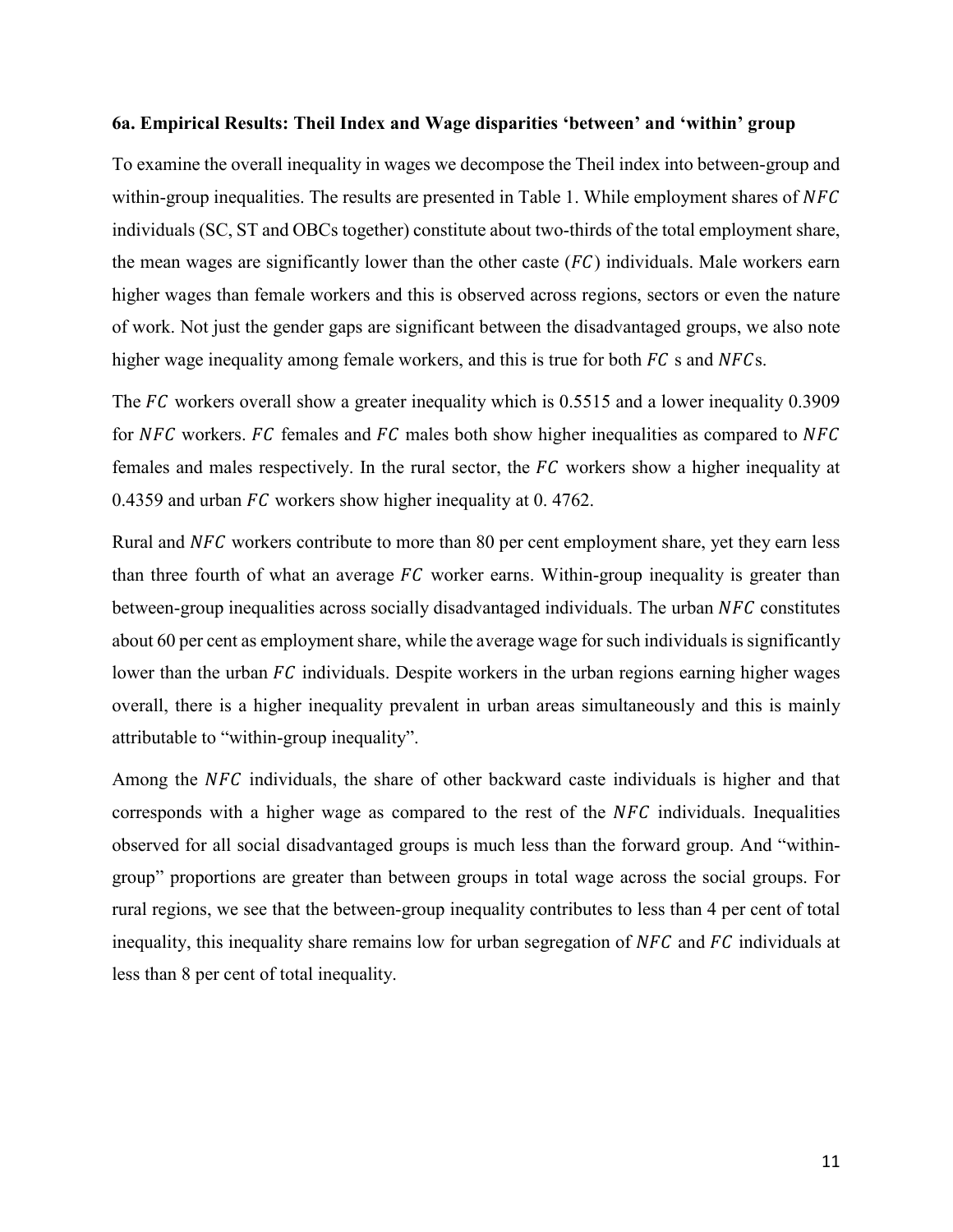#### **6a. Empirical Results: Theil Index and Wage disparities 'between' and 'within' group**

To examine the overall inequality in wages we decompose the Theil index into between-group and within-group inequalities. The results are presented in Table 1. While employment shares of  $NFC$ individuals (SC, ST and OBCs together) constitute about two-thirds of the total employment share, the mean wages are significantly lower than the other caste  $(FC)$  individuals. Male workers earn higher wages than female workers and this is observed across regions, sectors or even the nature of work. Not just the gender gaps are significant between the disadvantaged groups, we also note higher wage inequality among female workers, and this is true for both  $FC$  s and  $NFCs$ .

The  $FC$  workers overall show a greater inequality which is 0.5515 and a lower inequality 0.3909 for NFC workers. FC females and FC males both show higher inequalities as compared to NFC females and males respectively. In the rural sector, the  $FC$  workers show a higher inequality at 0.4359 and urban  $FC$  workers show higher inequality at 0.4762.

Rural and NFC workers contribute to more than 80 per cent employment share, yet they earn less than three fourth of what an average  $FC$  worker earns. Within-group inequality is greater than between-group inequalities across socially disadvantaged individuals. The urban NFC constitutes about 60 per cent as employment share, while the average wage for such individuals is significantly lower than the urban  $FC$  individuals. Despite workers in the urban regions earning higher wages overall, there is a higher inequality prevalent in urban areas simultaneously and this is mainly attributable to "within-group inequality".

Among the NFC individuals, the share of other backward caste individuals is higher and that corresponds with a higher wage as compared to the rest of the  $NFC$  individuals. Inequalities observed for all social disadvantaged groups is much less than the forward group. And "withingroup" proportions are greater than between groups in total wage across the social groups. For rural regions, we see that the between-group inequality contributes to less than 4 per cent of total inequality, this inequality share remains low for urban segregation of  $NFC$  and  $FC$  individuals at less than 8 per cent of total inequality.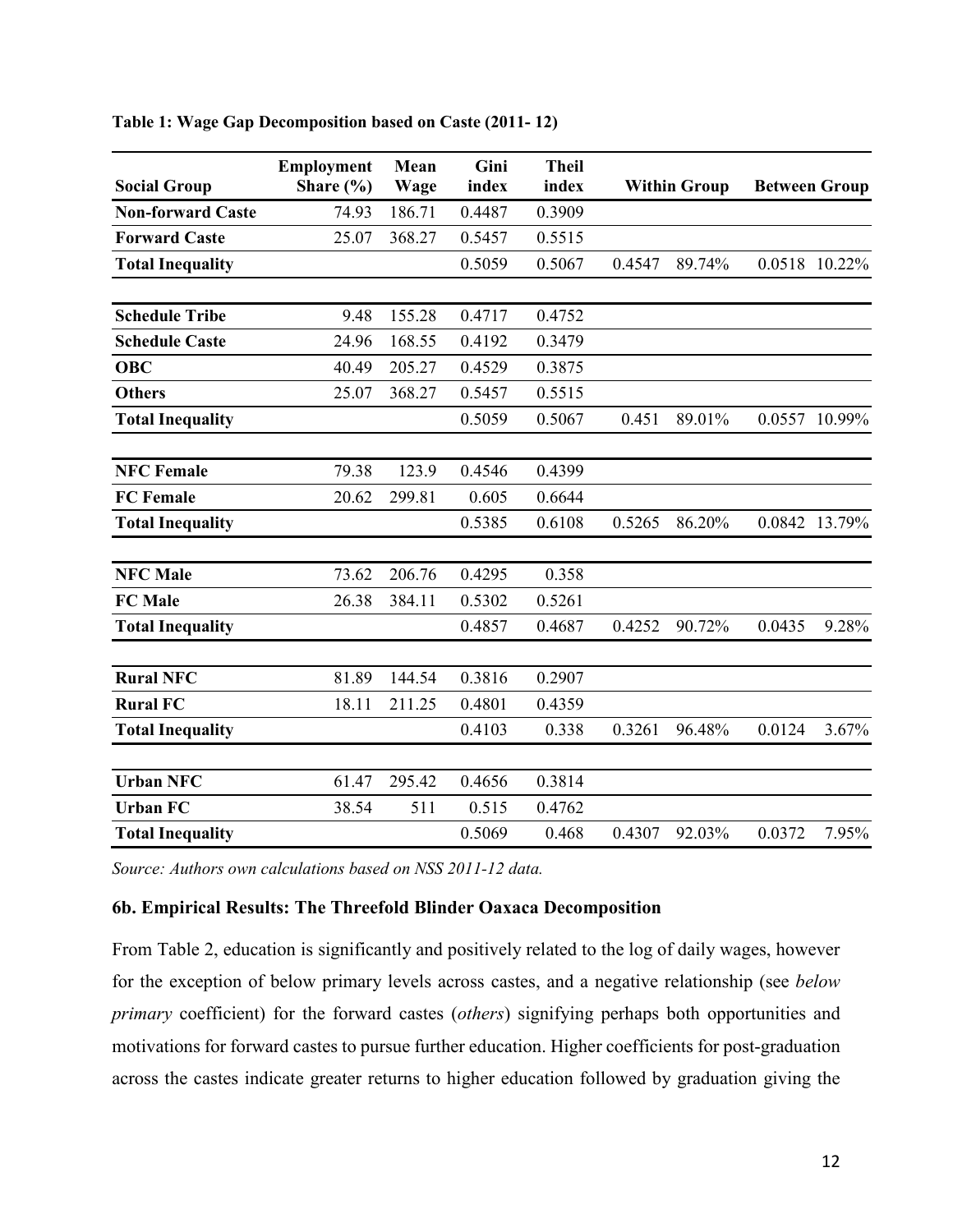|                          | <b>Employment</b> | Mean   | Gini   | <b>Theil</b> |        |                     |        |                      |
|--------------------------|-------------------|--------|--------|--------------|--------|---------------------|--------|----------------------|
| <b>Social Group</b>      | Share $(\% )$     | Wage   | index  | index        |        | <b>Within Group</b> |        | <b>Between Group</b> |
| <b>Non-forward Caste</b> | 74.93             | 186.71 | 0.4487 | 0.3909       |        |                     |        |                      |
| <b>Forward Caste</b>     | 25.07             | 368.27 | 0.5457 | 0.5515       |        |                     |        |                      |
| <b>Total Inequality</b>  |                   |        | 0.5059 | 0.5067       | 0.4547 | 89.74%              |        | 0.0518 10.22%        |
| <b>Schedule Tribe</b>    | 9.48              | 155.28 | 0.4717 | 0.4752       |        |                     |        |                      |
| <b>Schedule Caste</b>    | 24.96             | 168.55 | 0.4192 | 0.3479       |        |                     |        |                      |
| <b>OBC</b>               | 40.49             | 205.27 | 0.4529 | 0.3875       |        |                     |        |                      |
| <b>Others</b>            | 25.07             | 368.27 | 0.5457 | 0.5515       |        |                     |        |                      |
| <b>Total Inequality</b>  |                   |        | 0.5059 | 0.5067       | 0.451  | 89.01%              |        | 0.0557 10.99%        |
| <b>NFC Female</b>        | 79.38             | 123.9  | 0.4546 | 0.4399       |        |                     |        |                      |
| <b>FC</b> Female         | 20.62             | 299.81 | 0.605  | 0.6644       |        |                     |        |                      |
| <b>Total Inequality</b>  |                   |        | 0.5385 | 0.6108       | 0.5265 | 86.20%              |        | 0.0842 13.79%        |
| <b>NFC Male</b>          | 73.62             | 206.76 | 0.4295 | 0.358        |        |                     |        |                      |
| <b>FC</b> Male           | 26.38             | 384.11 | 0.5302 | 0.5261       |        |                     |        |                      |
| <b>Total Inequality</b>  |                   |        | 0.4857 | 0.4687       | 0.4252 | 90.72%              | 0.0435 | 9.28%                |
| <b>Rural NFC</b>         | 81.89             | 144.54 | 0.3816 | 0.2907       |        |                     |        |                      |
| <b>Rural FC</b>          | 18.11             | 211.25 | 0.4801 | 0.4359       |        |                     |        |                      |
| <b>Total Inequality</b>  |                   |        | 0.4103 | 0.338        | 0.3261 | 96.48%              | 0.0124 | 3.67%                |
| <b>Urban NFC</b>         | 61.47             | 295.42 | 0.4656 | 0.3814       |        |                     |        |                      |
| <b>Urban FC</b>          | 38.54             | 511    | 0.515  | 0.4762       |        |                     |        |                      |
| <b>Total Inequality</b>  |                   |        | 0.5069 | 0.468        | 0.4307 | 92.03%              | 0.0372 | 7.95%                |

**Table 1: Wage Gap Decomposition based on Caste (2011- 12)** 

*Source: Authors own calculations based on NSS 2011-12 data.* 

## **6b. Empirical Results: The Threefold Blinder Oaxaca Decomposition**

From Table 2, education is significantly and positively related to the log of daily wages, however for the exception of below primary levels across castes, and a negative relationship (see *below primary* coefficient) for the forward castes (*others*) signifying perhaps both opportunities and motivations for forward castes to pursue further education. Higher coefficients for post-graduation across the castes indicate greater returns to higher education followed by graduation giving the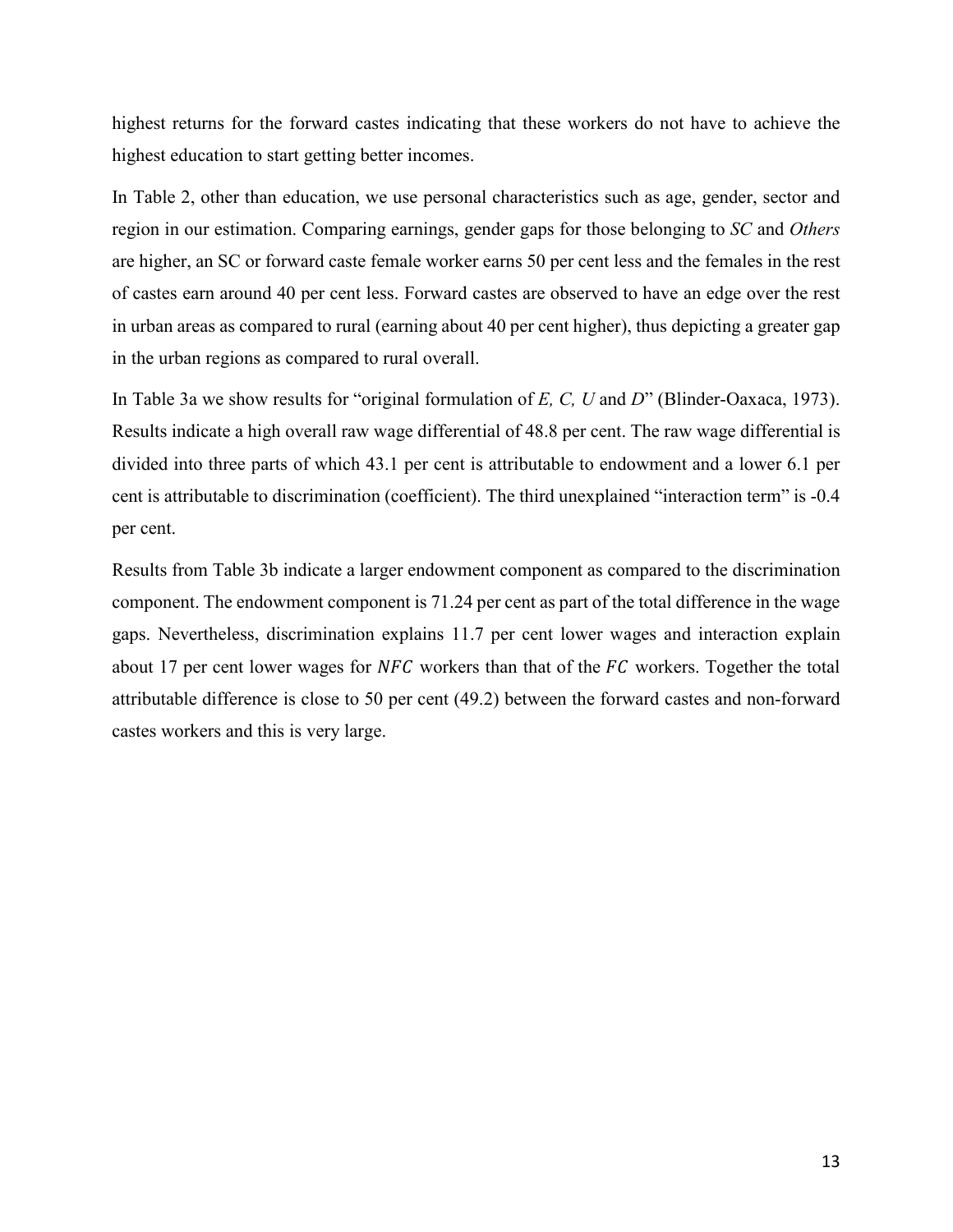highest returns for the forward castes indicating that these workers do not have to achieve the highest education to start getting better incomes.

In Table 2, other than education, we use personal characteristics such as age, gender, sector and region in our estimation. Comparing earnings, gender gaps for those belonging to *SC* and *Others*  are higher, an SC or forward caste female worker earns 50 per cent less and the females in the rest of castes earn around 40 per cent less. Forward castes are observed to have an edge over the rest in urban areas as compared to rural (earning about 40 per cent higher), thus depicting a greater gap in the urban regions as compared to rural overall.

In Table 3a we show results for "original formulation of *E, C, U* and *D*" (Blinder-Oaxaca, 1973). Results indicate a high overall raw wage differential of 48.8 per cent. The raw wage differential is divided into three parts of which 43.1 per cent is attributable to endowment and a lower 6.1 per cent is attributable to discrimination (coefficient). The third unexplained "interaction term" is -0.4 per cent.

Results from Table 3b indicate a larger endowment component as compared to the discrimination component. The endowment component is 71.24 per cent as part of the total difference in the wage gaps. Nevertheless, discrimination explains 11.7 per cent lower wages and interaction explain about 17 per cent lower wages for  $NFC$  workers than that of the  $FC$  workers. Together the total attributable difference is close to 50 per cent (49.2) between the forward castes and non-forward castes workers and this is very large.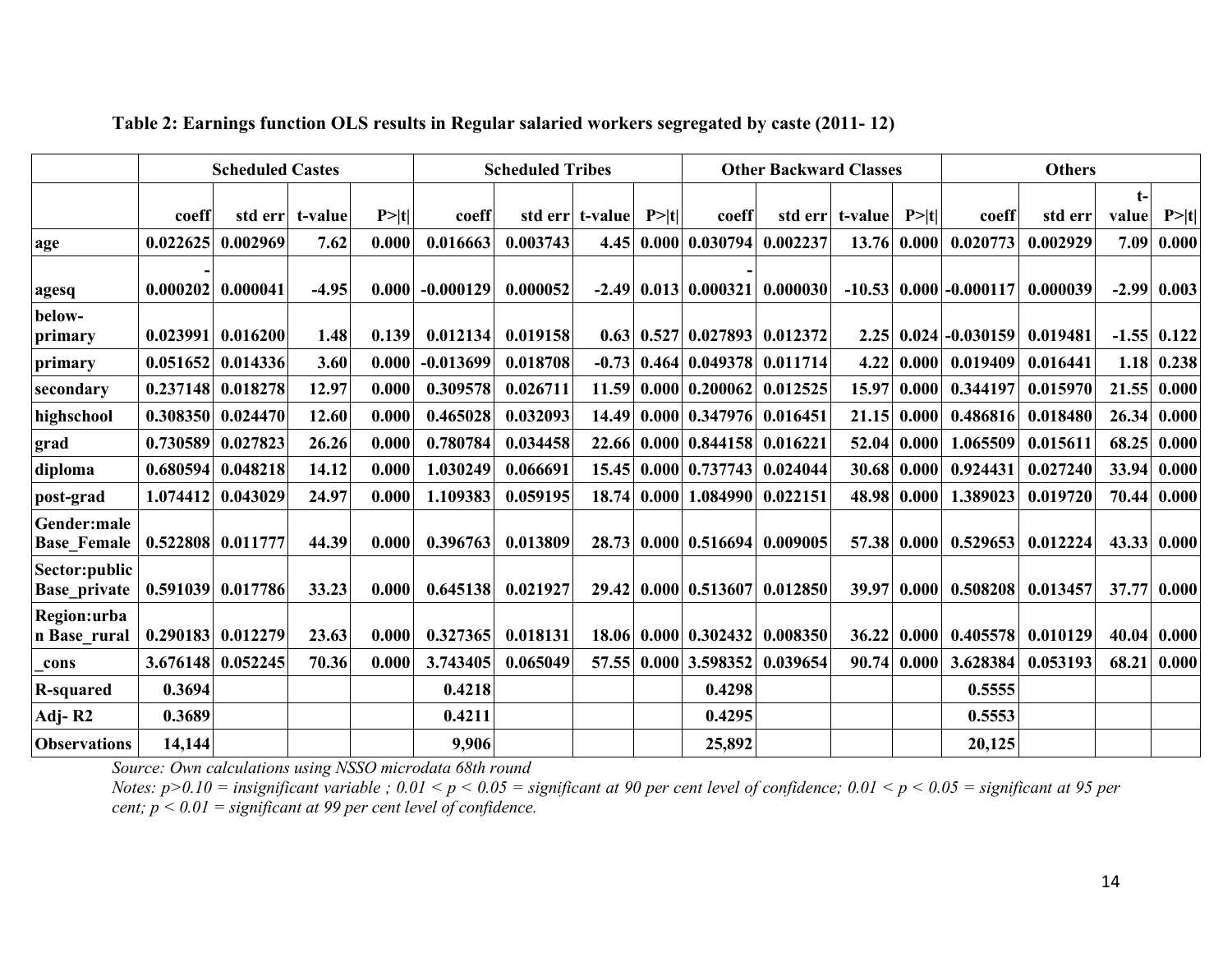|                                      | <b>Scheduled Castes</b> |                   |         | <b>Scheduled Tribes</b> |             |          | <b>Other Backward Classes</b> |        |                               |          | <b>Others</b>   |                   |             |          |               |                   |
|--------------------------------------|-------------------------|-------------------|---------|-------------------------|-------------|----------|-------------------------------|--------|-------------------------------|----------|-----------------|-------------------|-------------|----------|---------------|-------------------|
|                                      | coeff                   | std err           | t-value | P >  t                  | coeff       |          | std err t-value               | P >  t | coeff                         |          | std err t-value | P >  t            | coeff       | std err  | $t-$<br>value | P> t              |
| age                                  | 0.022625                | 0.002969          | 7.62    | 0.000                   | 0.016663    | 0.003743 | 4.45                          |        | 0.000   0.030794              | 0.002237 | 13.76           | 0.000             | 0.020773    | 0.002929 | 7.09          | 0.000             |
| agesq                                | 0.000202                | 0.000041          | $-4.95$ | 0.000                   | $-0.000129$ | 0.000052 |                               |        | $-2.49$ 0.013 0.000321        | 0.000030 | $-10.53$ 0.000  |                   | $-0.000117$ | 0.000039 |               | $-2.99$ 0.003     |
| below-<br>primary                    | 0.023991                | 0.016200          | 1.48    | 0.139                   | 0.012134    | 0.019158 |                               |        | $0.63$   $0.527$   $0.027893$ | 0.012372 |                 | $2.25 \mid 0.024$ | $-0.030159$ | 0.019481 |               | $-1.55$ 0.122     |
| primary                              | 0.051652                | 0.014336          | 3.60    | 0.000                   | $-0.013699$ | 0.018708 | $-0.73$                       |        | $0.464 \mid 0.049378$         | 0.011714 | 4.22            | 0.000             | 0.019409    | 0.016441 |               | $1.18 \mid 0.238$ |
| secondary                            | 0.237148                | 0.018278          | 12.97   | 0.000                   | 0.309578    | 0.026711 | 11.59                         |        | $0.000 \mid 0.200062$         | 0.012525 | 15.97           | 0.000             | 0.344197    | 0.015970 |               | 21.55 0.000       |
| highschool                           | 0.308350                | 0.024470          | 12.60   | 0.000                   | 0.465028    | 0.032093 | 14.49                         |        | 0.000   0.347976              | 0.016451 | 21.15           | 0.000             | 0.486816    | 0.018480 | 26.34         | 0.000             |
| grad                                 | 0.730589                | 0.027823          | 26.26   | 0.000                   | 0.780784    | 0.034458 | 22.66                         |        | 0.000   0.844158              | 0.016221 | 52.04           | 0.000             | 1.065509    | 0.015611 | 68.25         | 0.000             |
| diploma                              | 0.680594                | 0.048218          | 14.12   | 0.000                   | 1.030249    | 0.066691 | 15.45                         |        | $0.000 \mid 0.737743$         | 0.024044 | 30.68           | 0.000             | 0.924431    | 0.027240 | 33.94         | 0.000             |
| post-grad                            | 1.074412                | 0.043029          | 24.97   | 0.000                   | 1.109383    | 0.059195 | 18.74                         | 0.000  | 1.084990                      | 0.022151 | 48.98           | 0.000             | 1.389023    | 0.019720 | 70.44         | 0.000             |
| Gender:male<br><b>Base_Female</b>    | 0.522808                | 0.011777          | 44.39   | 0.000                   | 0.396763    | 0.013809 | 28.73                         |        | 0.000 0.516694                | 0.009005 |                 | 57.38 0.000       | 0.529653    | 0.012224 |               | 43.33 0.000       |
| Sector:public<br><b>Base_private</b> |                         | 0.591039 0.017786 | 33.23   | 0.000                   | 0.645138    | 0.021927 | 29.42                         |        | $0.000 \mid 0.513607$         | 0.012850 | 39.97 0.000     |                   | 0.508208    | 0.013457 | 37.77         | 0.000             |
| Region:urba<br>n Base_rural          | 0.290183                | 0.012279          | 23.63   | 0.000                   | 0.327365    | 0.018131 |                               |        | 18.06 0.000 0.302432          | 0.008350 | 36.22           | 0.000             | 0.405578    | 0.010129 |               | 40.04 0.000       |
| cons                                 | 3.676148                | 0.052245          | 70.36   | 0.000                   | 3.743405    | 0.065049 | 57.55                         |        | $0.000$ 3.598352              | 0.039654 | 90.74           | 0.000             | 3.628384    | 0.053193 | 68.21         | 0.000             |
| <b>R-squared</b>                     | 0.3694                  |                   |         |                         | 0.4218      |          |                               |        | 0.4298                        |          |                 |                   | 0.5555      |          |               |                   |
| Adj-R2                               | 0.3689                  |                   |         |                         | 0.4211      |          |                               |        | 0.4295                        |          |                 |                   | 0.5553      |          |               |                   |
| <b>Observations</b>                  | 14,144                  |                   |         |                         | 9,906       |          |                               |        | 25,892                        |          |                 |                   | 20,125      |          |               |                   |

## **Table 2: Earnings function OLS results in Regular salaried workers segregated by caste (2011- 12)**

*Source: Own calculations using NSSO microdata 68th round*

Notes: p>0.10 = insignificant variable ; 0.01 < p < 0.05 = significant at 90 per cent level of confidence; 0.01 < p < 0.05 = significant at 95 per<br>cent; p < 0.01 = significant at 99 per cent level of confidence.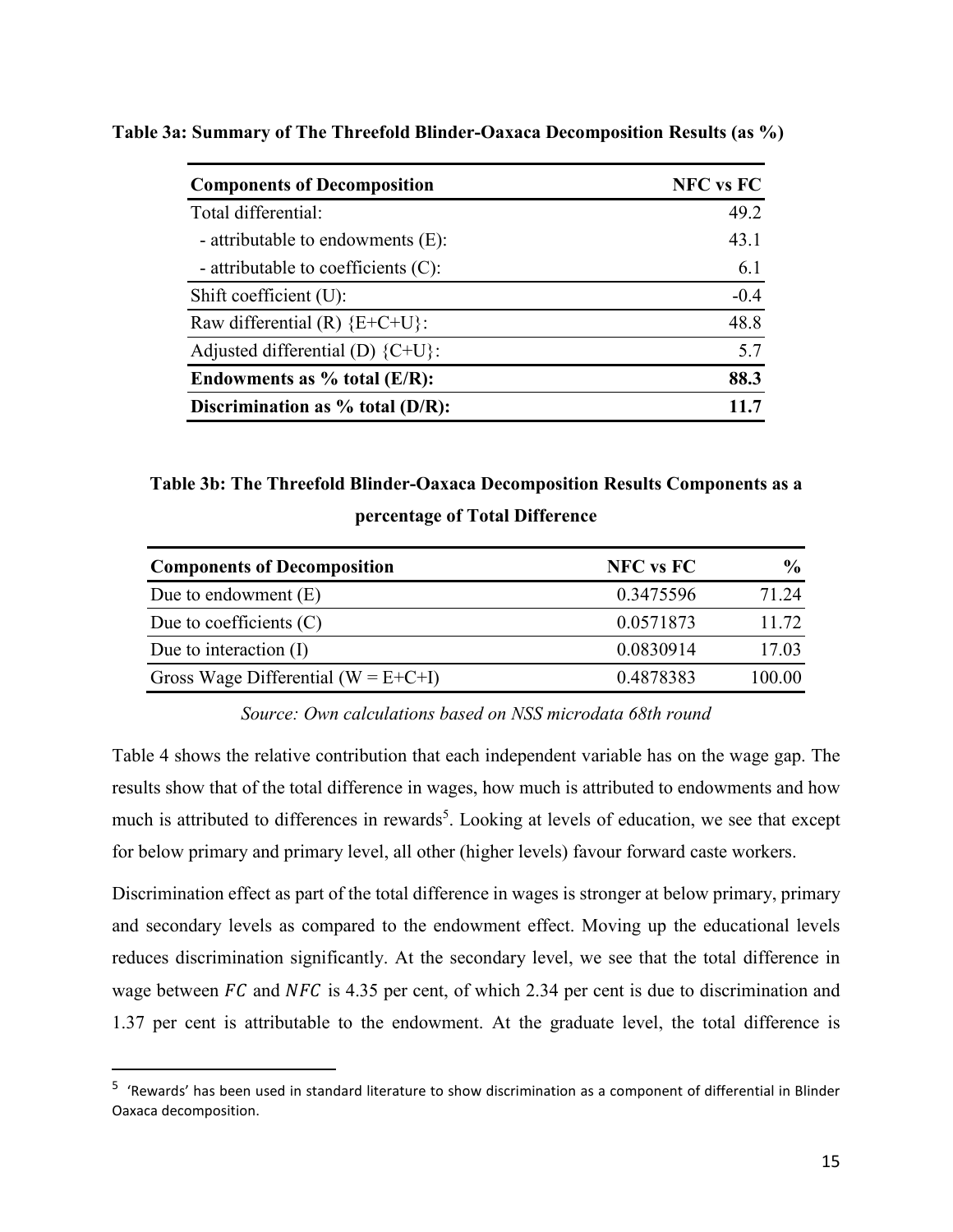| <b>Components of Decomposition</b>  | <b>NFC</b> vs FC |
|-------------------------------------|------------------|
| Total differential:                 | 49.2             |
| - attributable to endowments (E):   | 43.1             |
| - attributable to coefficients (C): | 6.1              |
| Shift coefficient (U):              | $-0.4$           |
| Raw differential (R) ${E+C+U}$ :    | 48.8             |
| Adjusted differential (D) ${C+U}$ : | 5.7              |
| Endowments as $%$ total (E/R):      | 88.3             |
| Discrimination as $%$ total (D/R):  |                  |

**Table 3a: Summary of The Threefold Blinder-Oaxaca Decomposition Results (as %)** 

**Table 3b: The Threefold Blinder-Oaxaca Decomposition Results Components as a percentage of Total Difference** 

| <b>Components of Decomposition</b>          | <b>NFC</b> vs FC | $\frac{0}{0}$ |
|---------------------------------------------|------------------|---------------|
| Due to endowment $(E)$                      | 0.3475596        | 71.24         |
| Due to coefficients $(C)$                   | 0.0571873        | 11.72         |
| Due to interaction $(I)$                    | 0.0830914        | 17.03         |
| Gross Wage Differential ( $W = E + C + I$ ) | 0.4878383        | 100.00        |

## *Source: Own calculations based on NSS microdata 68th round*

Table 4 shows the relative contribution that each independent variable has on the wage gap. The results show that of the total difference in wages, how much is attributed to endowments and how much is attributed to differences in rewards<sup>5</sup>. Looking at levels of education, we see that except for below primary and primary level, all other (higher levels) favour forward caste workers.

Discrimination effect as part of the total difference in wages is stronger at below primary, primary and secondary levels as compared to the endowment effect. Moving up the educational levels reduces discrimination significantly. At the secondary level, we see that the total difference in wage between  $FC$  and  $NFC$  is 4.35 per cent, of which 2.34 per cent is due to discrimination and 1.37 per cent is attributable to the endowment. At the graduate level, the total difference is

 $\overline{a}$ 

<sup>&</sup>lt;sup>5</sup> 'Rewards' has been used in standard literature to show discrimination as a component of differential in Blinder Oaxaca decomposition.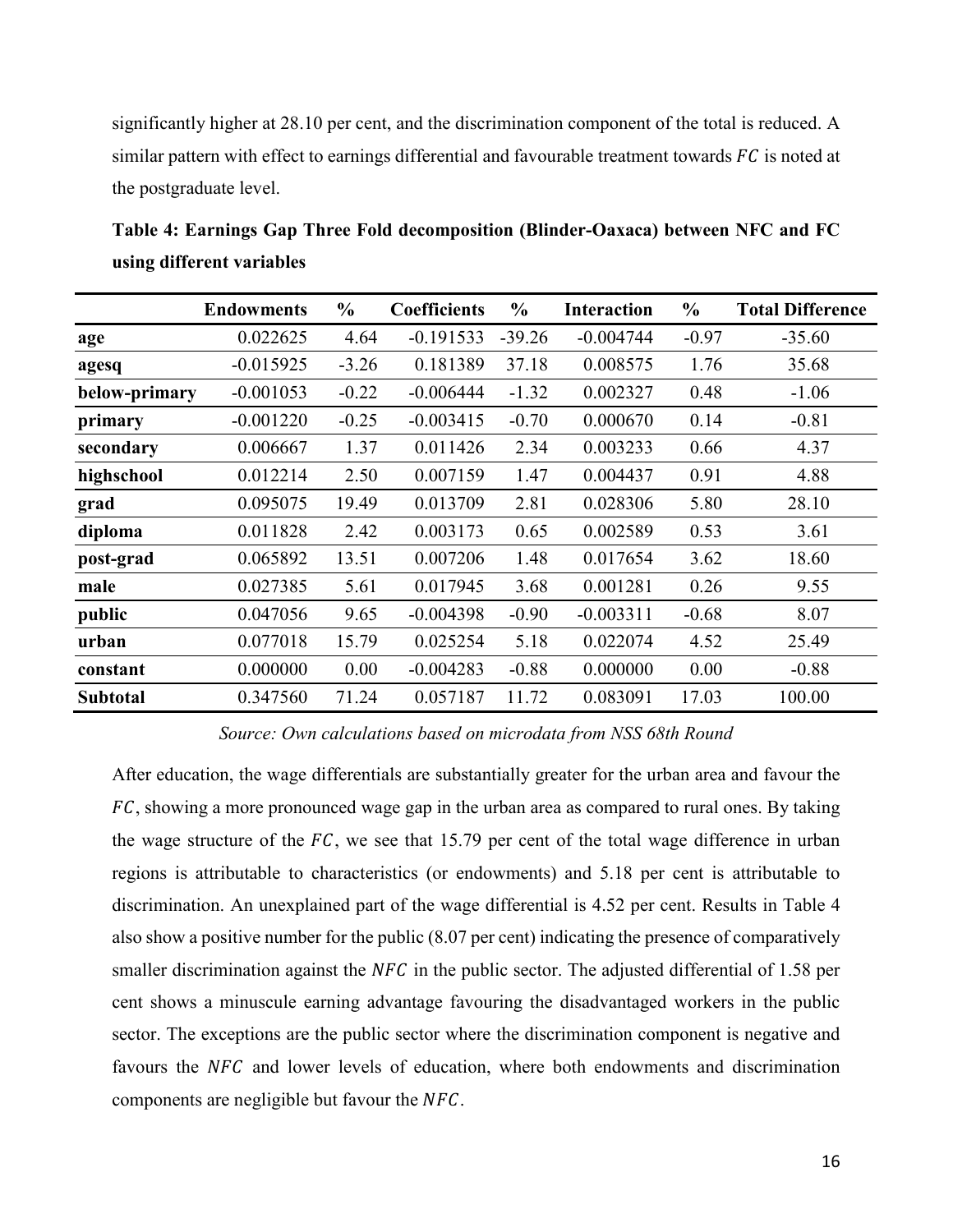significantly higher at 28.10 per cent, and the discrimination component of the total is reduced. A similar pattern with effect to earnings differential and favourable treatment towards  $FC$  is noted at the postgraduate level.

**Table 4: Earnings Gap Three Fold decomposition (Blinder-Oaxaca) between NFC and FC using different variables** 

|                 | <b>Endowments</b> | $\frac{6}{10}$ | <b>Coefficients</b> | $\frac{0}{0}$ | <b>Interaction</b> | $\frac{6}{9}$ | <b>Total Difference</b> |
|-----------------|-------------------|----------------|---------------------|---------------|--------------------|---------------|-------------------------|
| age             | 0.022625          | 4.64           | $-0.191533$         | $-39.26$      | $-0.004744$        | $-0.97$       | $-35.60$                |
| agesq           | $-0.015925$       | $-3.26$        | 0.181389            | 37.18         | 0.008575           | 1.76          | 35.68                   |
| below-primary   | $-0.001053$       | $-0.22$        | $-0.006444$         | $-1.32$       | 0.002327           | 0.48          | $-1.06$                 |
| primary         | $-0.001220$       | $-0.25$        | $-0.003415$         | $-0.70$       | 0.000670           | 0.14          | $-0.81$                 |
| secondary       | 0.006667          | 1.37           | 0.011426            | 2.34          | 0.003233           | 0.66          | 4.37                    |
| highschool      | 0.012214          | 2.50           | 0.007159            | 1.47          | 0.004437           | 0.91          | 4.88                    |
| grad            | 0.095075          | 19.49          | 0.013709            | 2.81          | 0.028306           | 5.80          | 28.10                   |
| diploma         | 0.011828          | 2.42           | 0.003173            | 0.65          | 0.002589           | 0.53          | 3.61                    |
| post-grad       | 0.065892          | 13.51          | 0.007206            | 1.48          | 0.017654           | 3.62          | 18.60                   |
| male            | 0.027385          | 5.61           | 0.017945            | 3.68          | 0.001281           | 0.26          | 9.55                    |
| public          | 0.047056          | 9.65           | $-0.004398$         | $-0.90$       | $-0.003311$        | $-0.68$       | 8.07                    |
| urban           | 0.077018          | 15.79          | 0.025254            | 5.18          | 0.022074           | 4.52          | 25.49                   |
| constant        | 0.000000          | 0.00           | $-0.004283$         | $-0.88$       | 0.000000           | 0.00          | $-0.88$                 |
| <b>Subtotal</b> | 0.347560          | 71.24          | 0.057187            | 11.72         | 0.083091           | 17.03         | 100.00                  |

*Source: Own calculations based on microdata from NSS 68th Round* 

After education, the wage differentials are substantially greater for the urban area and favour the FC, showing a more pronounced wage gap in the urban area as compared to rural ones. By taking the wage structure of the  $FC$ , we see that 15.79 per cent of the total wage difference in urban regions is attributable to characteristics (or endowments) and 5.18 per cent is attributable to discrimination. An unexplained part of the wage differential is 4.52 per cent. Results in Table 4 also show a positive number for the public (8.07 per cent) indicating the presence of comparatively smaller discrimination against the  $NFC$  in the public sector. The adjusted differential of 1.58 per cent shows a minuscule earning advantage favouring the disadvantaged workers in the public sector. The exceptions are the public sector where the discrimination component is negative and favours the NFC and lower levels of education, where both endowments and discrimination components are negligible but favour the  $NFC$ .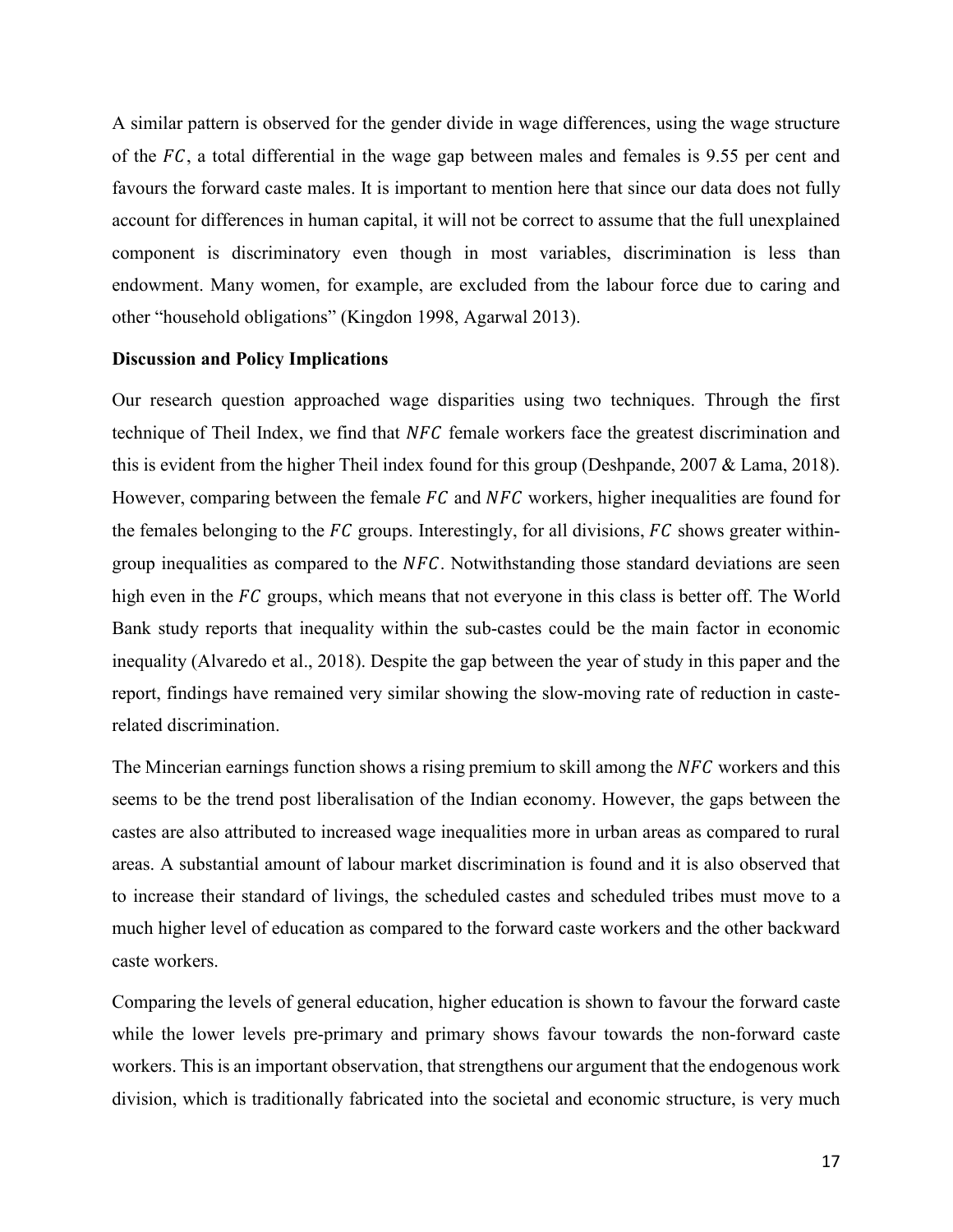A similar pattern is observed for the gender divide in wage differences, using the wage structure of the  $FC$ , a total differential in the wage gap between males and females is 9.55 per cent and favours the forward caste males. It is important to mention here that since our data does not fully account for differences in human capital, it will not be correct to assume that the full unexplained component is discriminatory even though in most variables, discrimination is less than endowment. Many women, for example, are excluded from the labour force due to caring and other "household obligations" (Kingdon 1998, Agarwal 2013).

## **Discussion and Policy Implications**

Our research question approached wage disparities using two techniques. Through the first technique of Theil Index, we find that NFC female workers face the greatest discrimination and this is evident from the higher Theil index found for this group (Deshpande, 2007 & Lama, 2018). However, comparing between the female  $FC$  and  $NFC$  workers, higher inequalities are found for the females belonging to the  $FC$  groups. Interestingly, for all divisions,  $FC$  shows greater withingroup inequalities as compared to the  $NFC$ . Notwithstanding those standard deviations are seen high even in the FC groups, which means that not everyone in this class is better off. The World Bank study reports that inequality within the sub-castes could be the main factor in economic inequality (Alvaredo et al., 2018). Despite the gap between the year of study in this paper and the report, findings have remained very similar showing the slow-moving rate of reduction in casterelated discrimination.

The Mincerian earnings function shows a rising premium to skill among the  $NFC$  workers and this seems to be the trend post liberalisation of the Indian economy. However, the gaps between the castes are also attributed to increased wage inequalities more in urban areas as compared to rural areas. A substantial amount of labour market discrimination is found and it is also observed that to increase their standard of livings, the scheduled castes and scheduled tribes must move to a much higher level of education as compared to the forward caste workers and the other backward caste workers.

Comparing the levels of general education, higher education is shown to favour the forward caste while the lower levels pre-primary and primary shows favour towards the non-forward caste workers. This is an important observation, that strengthens our argument that the endogenous work division, which is traditionally fabricated into the societal and economic structure, is very much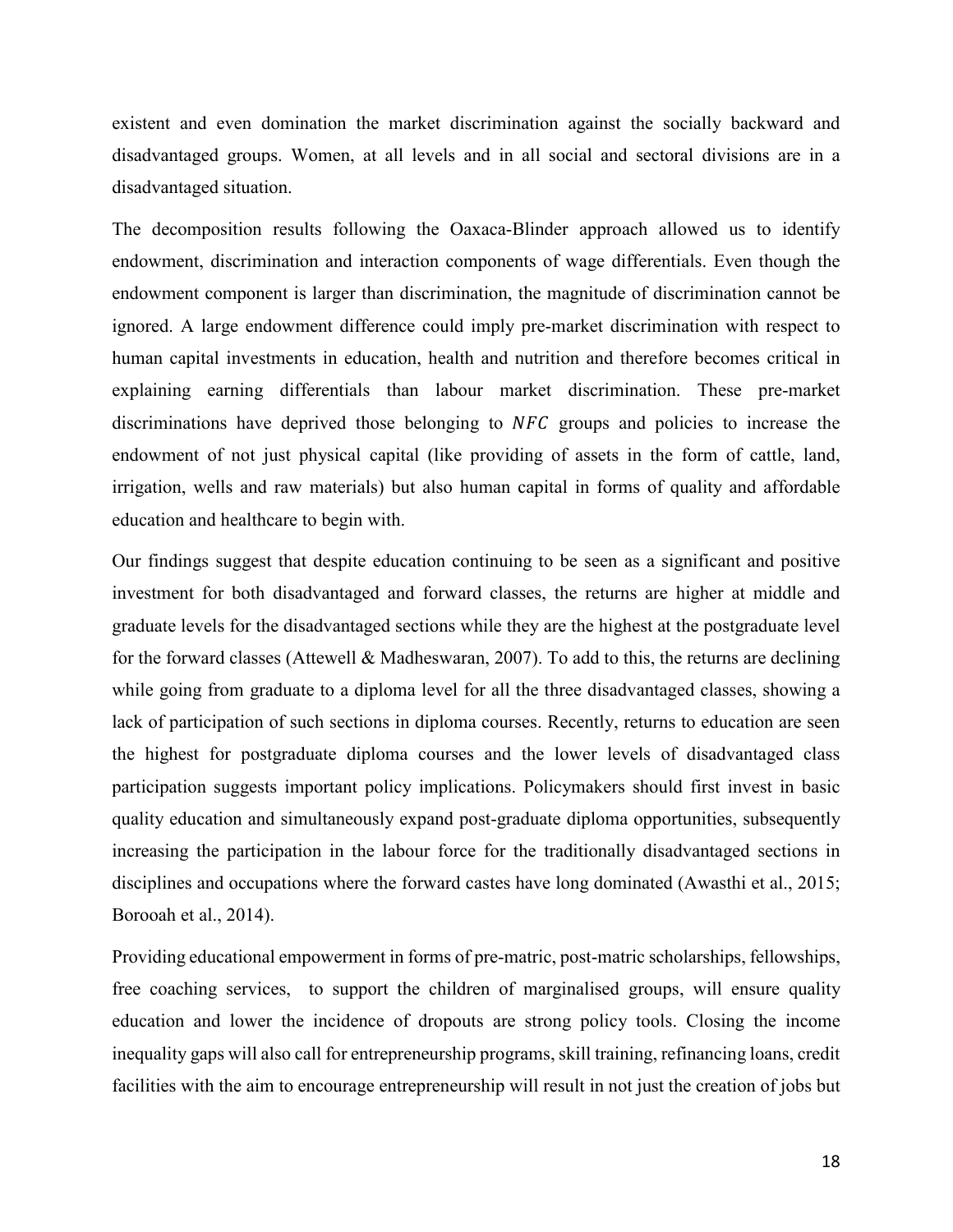existent and even domination the market discrimination against the socially backward and disadvantaged groups. Women, at all levels and in all social and sectoral divisions are in a disadvantaged situation.

The decomposition results following the Oaxaca-Blinder approach allowed us to identify endowment, discrimination and interaction components of wage differentials. Even though the endowment component is larger than discrimination, the magnitude of discrimination cannot be ignored. A large endowment difference could imply pre-market discrimination with respect to human capital investments in education, health and nutrition and therefore becomes critical in explaining earning differentials than labour market discrimination. These pre-market discriminations have deprived those belonging to  $NFC$  groups and policies to increase the endowment of not just physical capital (like providing of assets in the form of cattle, land, irrigation, wells and raw materials) but also human capital in forms of quality and affordable education and healthcare to begin with.

Our findings suggest that despite education continuing to be seen as a significant and positive investment for both disadvantaged and forward classes, the returns are higher at middle and graduate levels for the disadvantaged sections while they are the highest at the postgraduate level for the forward classes (Attewell & Madheswaran, 2007). To add to this, the returns are declining while going from graduate to a diploma level for all the three disadvantaged classes, showing a lack of participation of such sections in diploma courses. Recently, returns to education are seen the highest for postgraduate diploma courses and the lower levels of disadvantaged class participation suggests important policy implications. Policymakers should first invest in basic quality education and simultaneously expand post-graduate diploma opportunities, subsequently increasing the participation in the labour force for the traditionally disadvantaged sections in disciplines and occupations where the forward castes have long dominated (Awasthi et al., 2015; Borooah et al., 2014).

Providing educational empowerment in forms of pre-matric, post-matric scholarships, fellowships, free coaching services, to support the children of marginalised groups, will ensure quality education and lower the incidence of dropouts are strong policy tools. Closing the income inequality gaps will also call for entrepreneurship programs, skill training, refinancing loans, credit facilities with the aim to encourage entrepreneurship will result in not just the creation of jobs but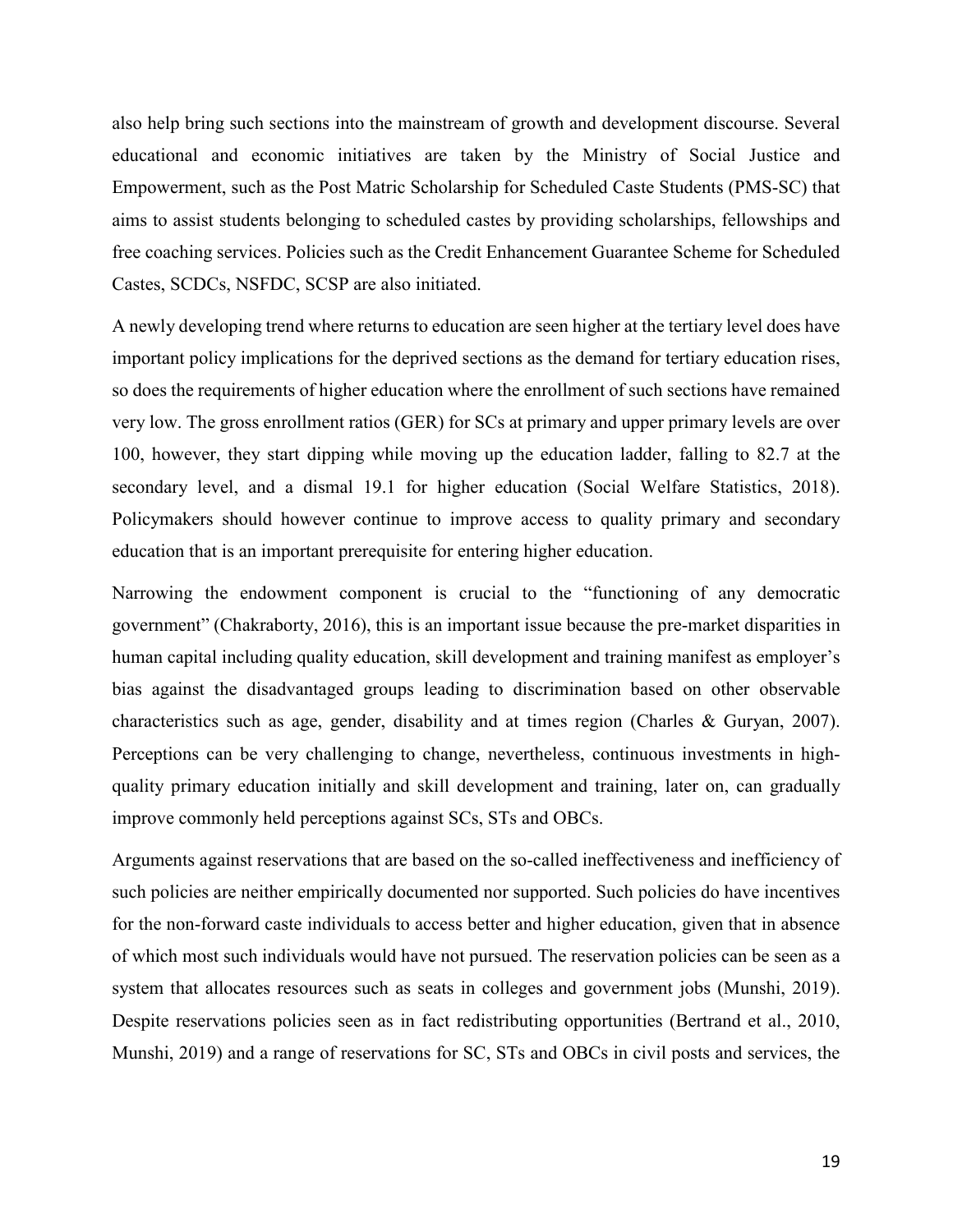also help bring such sections into the mainstream of growth and development discourse. Several educational and economic initiatives are taken by the Ministry of Social Justice and Empowerment, such as the Post Matric Scholarship for Scheduled Caste Students (PMS-SC) that aims to assist students belonging to scheduled castes by providing scholarships, fellowships and free coaching services. Policies such as the Credit Enhancement Guarantee Scheme for Scheduled Castes, SCDCs, NSFDC, SCSP are also initiated.

A newly developing trend where returns to education are seen higher at the tertiary level does have important policy implications for the deprived sections as the demand for tertiary education rises, so does the requirements of higher education where the enrollment of such sections have remained very low. The gross enrollment ratios (GER) for SCs at primary and upper primary levels are over 100, however, they start dipping while moving up the education ladder, falling to 82.7 at the secondary level, and a dismal 19.1 for higher education (Social Welfare Statistics, 2018). Policymakers should however continue to improve access to quality primary and secondary education that is an important prerequisite for entering higher education.

Narrowing the endowment component is crucial to the "functioning of any democratic government" (Chakraborty, 2016), this is an important issue because the pre-market disparities in human capital including quality education, skill development and training manifest as employer's bias against the disadvantaged groups leading to discrimination based on other observable characteristics such as age, gender, disability and at times region (Charles & Guryan, 2007). Perceptions can be very challenging to change, nevertheless, continuous investments in highquality primary education initially and skill development and training, later on, can gradually improve commonly held perceptions against SCs, STs and OBCs.

Arguments against reservations that are based on the so-called ineffectiveness and inefficiency of such policies are neither empirically documented nor supported. Such policies do have incentives for the non-forward caste individuals to access better and higher education, given that in absence of which most such individuals would have not pursued. The reservation policies can be seen as a system that allocates resources such as seats in colleges and government jobs (Munshi, 2019). Despite reservations policies seen as in fact redistributing opportunities (Bertrand et al., 2010, Munshi, 2019) and a range of reservations for SC, STs and OBCs in civil posts and services, the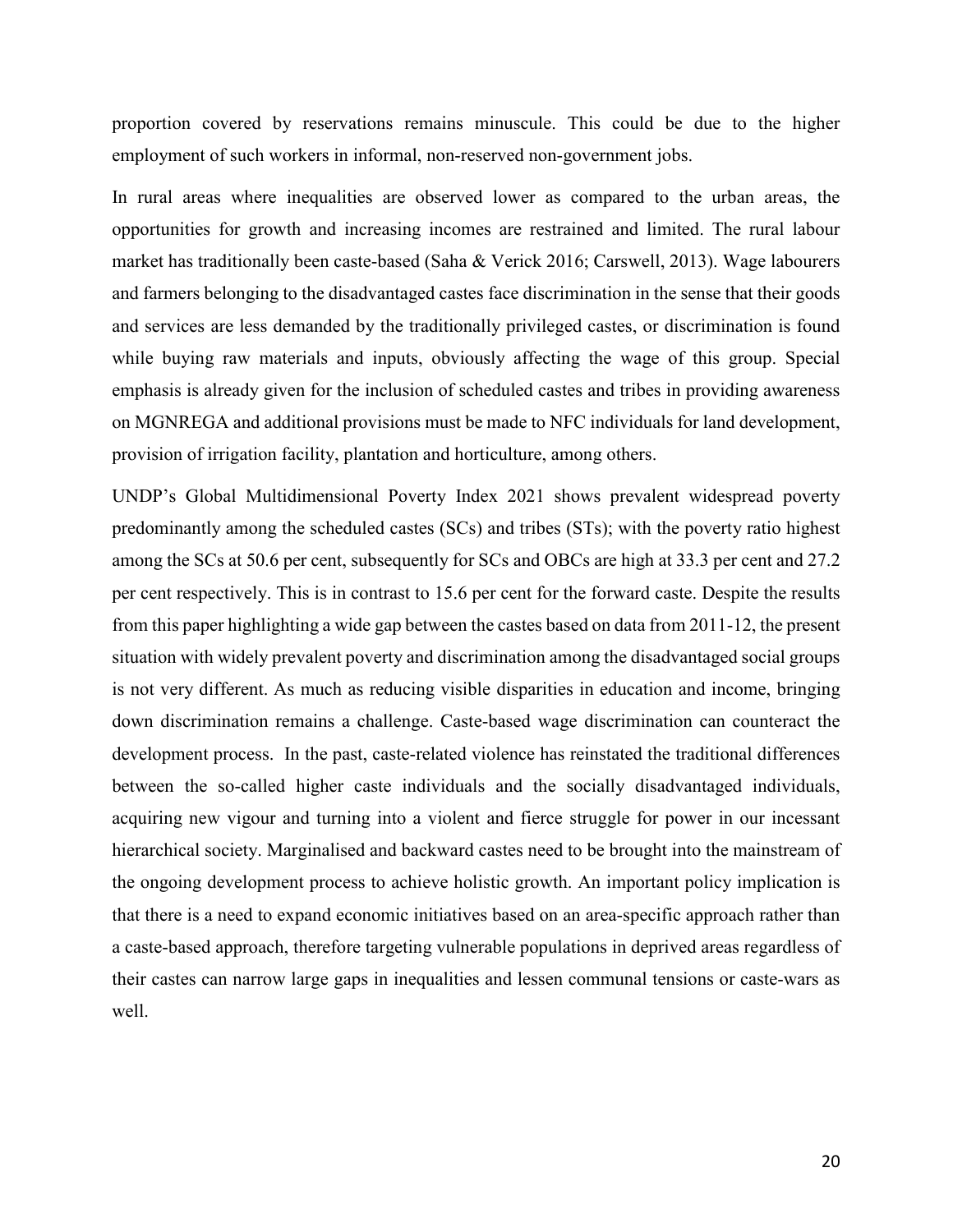proportion covered by reservations remains minuscule. This could be due to the higher employment of such workers in informal, non-reserved non-government jobs.

In rural areas where inequalities are observed lower as compared to the urban areas, the opportunities for growth and increasing incomes are restrained and limited. The rural labour market has traditionally been caste-based (Saha & Verick 2016; Carswell, 2013). Wage labourers and farmers belonging to the disadvantaged castes face discrimination in the sense that their goods and services are less demanded by the traditionally privileged castes, or discrimination is found while buying raw materials and inputs, obviously affecting the wage of this group. Special emphasis is already given for the inclusion of scheduled castes and tribes in providing awareness on MGNREGA and additional provisions must be made to NFC individuals for land development, provision of irrigation facility, plantation and horticulture, among others.

UNDP's Global Multidimensional Poverty Index 2021 shows prevalent widespread poverty predominantly among the scheduled castes (SCs) and tribes (STs); with the poverty ratio highest among the SCs at 50.6 per cent, subsequently for SCs and OBCs are high at 33.3 per cent and 27.2 per cent respectively. This is in contrast to 15.6 per cent for the forward caste. Despite the results from this paper highlighting a wide gap between the castes based on data from 2011-12, the present situation with widely prevalent poverty and discrimination among the disadvantaged social groups is not very different. As much as reducing visible disparities in education and income, bringing down discrimination remains a challenge. Caste-based wage discrimination can counteract the development process. In the past, caste-related violence has reinstated the traditional differences between the so-called higher caste individuals and the socially disadvantaged individuals, acquiring new vigour and turning into a violent and fierce struggle for power in our incessant hierarchical society. Marginalised and backward castes need to be brought into the mainstream of the ongoing development process to achieve holistic growth. An important policy implication is that there is a need to expand economic initiatives based on an area-specific approach rather than a caste-based approach, therefore targeting vulnerable populations in deprived areas regardless of their castes can narrow large gaps in inequalities and lessen communal tensions or caste-wars as well.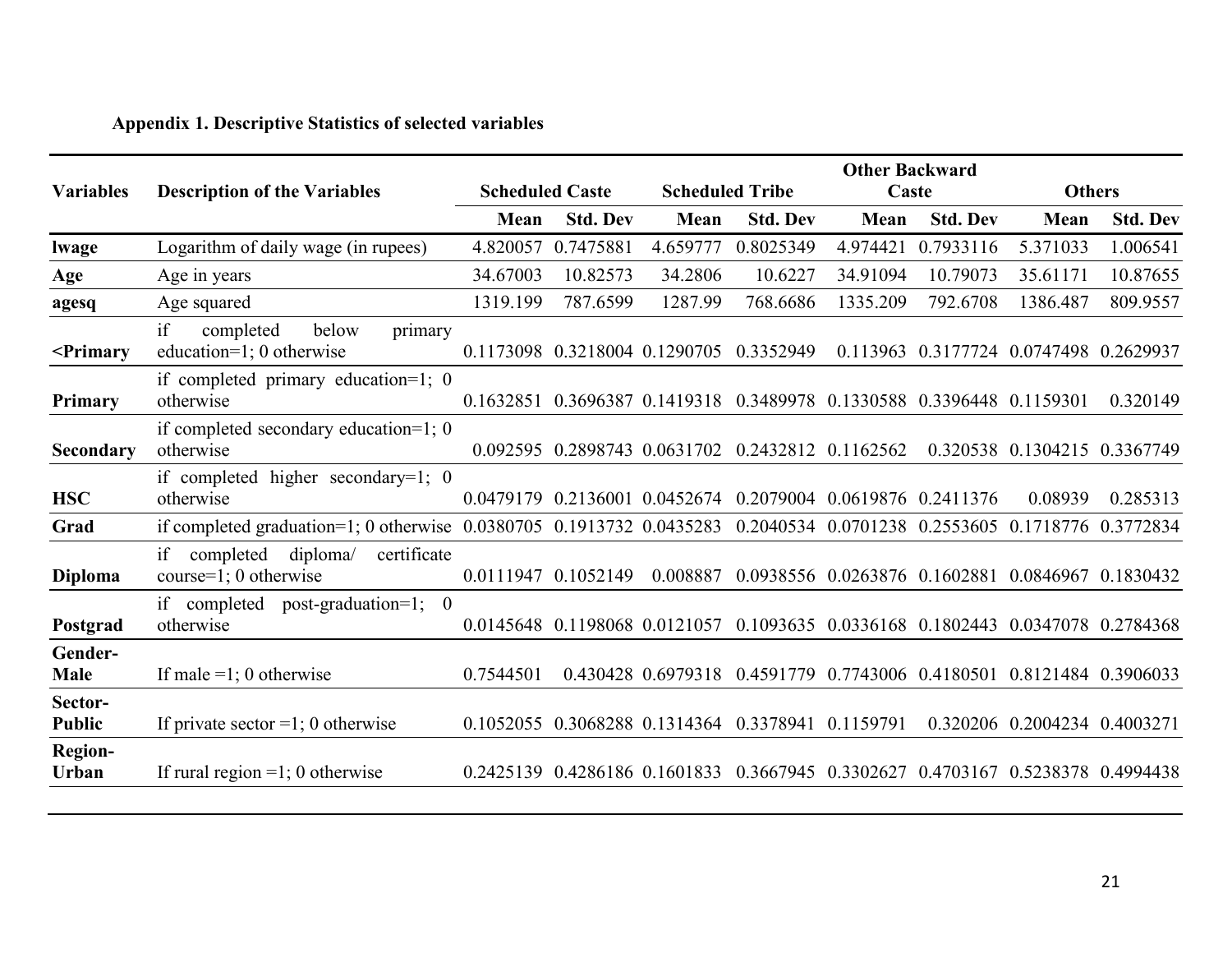## **Appendix 1. Descriptive Statistics of selected variables**

|                                                                                                                                                                                                                                                              |                                                                      |           | <b>Other Backward</b>  |                                                                                 |                        |                                                   |                                         |                              |                 |
|--------------------------------------------------------------------------------------------------------------------------------------------------------------------------------------------------------------------------------------------------------------|----------------------------------------------------------------------|-----------|------------------------|---------------------------------------------------------------------------------|------------------------|---------------------------------------------------|-----------------------------------------|------------------------------|-----------------|
| <b>Variables</b>                                                                                                                                                                                                                                             | <b>Description of the Variables</b>                                  |           | <b>Scheduled Caste</b> |                                                                                 | <b>Scheduled Tribe</b> | Caste                                             |                                         | <b>Others</b>                |                 |
|                                                                                                                                                                                                                                                              |                                                                      | Mean      | <b>Std. Dev</b>        | Mean                                                                            | <b>Std. Dev</b>        | Mean                                              | <b>Std. Dev</b>                         | Mean                         | <b>Std. Dev</b> |
| lwage                                                                                                                                                                                                                                                        | Logarithm of daily wage (in rupees)                                  | 4.820057  | 0.7475881              | 4.659777                                                                        | 0.8025349              | 4.974421                                          | 0.7933116                               | 5.371033                     | 1.006541        |
| Age                                                                                                                                                                                                                                                          | Age in years                                                         | 34.67003  | 10.82573               | 34.2806                                                                         | 10.6227                | 34.91094                                          | 10.79073                                | 35.61171                     | 10.87655        |
| agesq                                                                                                                                                                                                                                                        | Age squared                                                          | 1319.199  | 787.6599               | 1287.99                                                                         | 768.6686               | 1335.209                                          | 792.6708                                | 1386.487                     | 809.9557        |
| <primary< td=""><td>if<br/>primary<br/>completed<br/>below<br/>education=1; 0 otherwise</td><td></td><td></td><td>0.1173098 0.3218004 0.1290705 0.3352949</td><td></td><td></td><td>0.113963 0.3177724 0.0747498 0.2629937</td><td></td><td></td></primary<> | if<br>primary<br>completed<br>below<br>education=1; 0 otherwise      |           |                        | 0.1173098 0.3218004 0.1290705 0.3352949                                         |                        |                                                   | 0.113963 0.3177724 0.0747498 0.2629937  |                              |                 |
| <b>Primary</b>                                                                                                                                                                                                                                               | if completed primary education=1; $0$<br>otherwise                   |           |                        | 0.1632851 0.3696387 0.1419318 0.3489978 0.1330588 0.3396448 0.1159301           |                        |                                                   |                                         |                              | 0.320149        |
| Secondary                                                                                                                                                                                                                                                    | if completed secondary education=1; $0$<br>otherwise                 |           |                        | 0.092595 0.2898743 0.0631702                                                    | 0.2432812 0.1162562    |                                                   |                                         | 0.320538 0.1304215 0.3367749 |                 |
| <b>HSC</b>                                                                                                                                                                                                                                                   | if completed higher secondary=1; 0<br>otherwise                      | 0.0479179 |                        | 0.2136001 0.0452674                                                             |                        | 0.2079004 0.0619876 0.2411376                     |                                         | 0.08939                      | 0.285313        |
| Grad                                                                                                                                                                                                                                                         | if completed graduation=1; 0 otherwise 0.0380705 0.1913732 0.0435283 |           |                        |                                                                                 | 0.2040534              |                                                   | 0.0701238 0.2553605 0.1718776 0.3772834 |                              |                 |
| <b>Diploma</b>                                                                                                                                                                                                                                               | if<br>diploma/<br>certificate<br>completed<br>course=1; 0 otherwise  |           | 0.0111947 0.1052149    | 0.008887                                                                        |                        | 0.0938556 0.0263876 0.1602881 0.0846967 0.1830432 |                                         |                              |                 |
| Postgrad                                                                                                                                                                                                                                                     | if completed post-graduation=1; 0<br>otherwise                       |           |                        | 0.0145648 0.1198068 0.0121057 0.1093635 0.0336168 0.1802443 0.0347078 0.2784368 |                        |                                                   |                                         |                              |                 |
| Gender-<br><b>Male</b>                                                                                                                                                                                                                                       | If male =1; 0 otherwise                                              | 0.7544501 |                        | 0.430428 0.6979318                                                              |                        | 0.4591779 0.7743006 0.4180501 0.8121484 0.3906033 |                                         |                              |                 |
| Sector-<br><b>Public</b>                                                                                                                                                                                                                                     | If private sector = 1; 0 otherwise                                   |           |                        | 0.1052055 0.3068288 0.1314364 0.3378941 0.1159791                               |                        |                                                   |                                         | 0.320206 0.2004234 0.4003271 |                 |
| <b>Region-</b><br>Urban                                                                                                                                                                                                                                      | If rural region $=1$ ; 0 otherwise                                   | 0.2425139 |                        | 0.4286186 0.1601833                                                             |                        | 0.3667945 0.3302627 0.4703167 0.5238378 0.4994438 |                                         |                              |                 |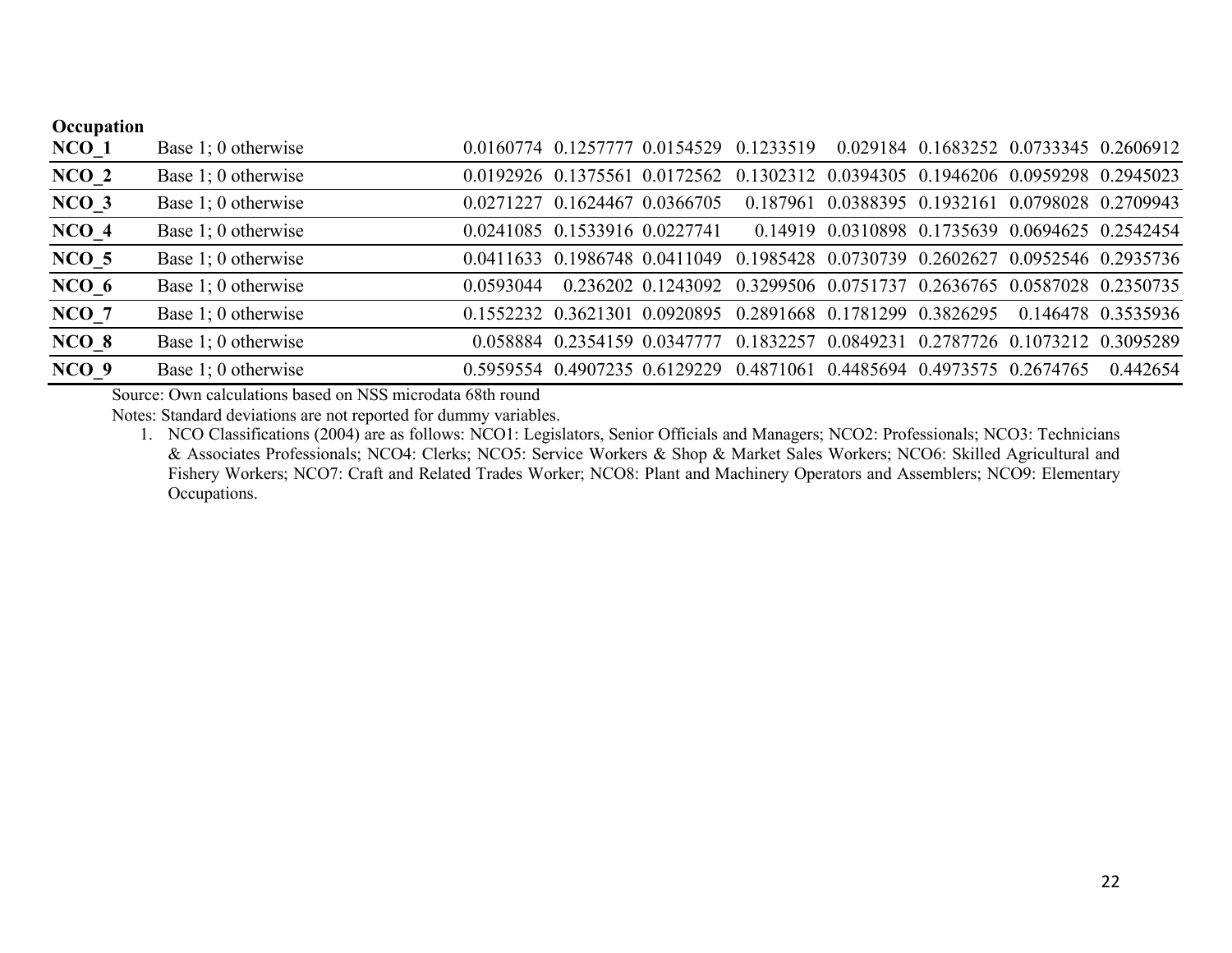| Occupation |                     |           |                               |                               |                                                                                 |                                                  |  |                                        |
|------------|---------------------|-----------|-------------------------------|-------------------------------|---------------------------------------------------------------------------------|--------------------------------------------------|--|----------------------------------------|
| $NCO_1$    | Base 1; 0 otherwise |           |                               |                               | 0.0160774 0.1257777 0.0154529 0.1233519                                         |                                                  |  | 0.029184 0.1683252 0.0733345 0.2606912 |
| $NCO_2$    | Base 1; 0 otherwise |           |                               |                               | 0.0192926 0.1375561 0.0172562 0.1302312 0.0394305 0.1946206 0.0959298 0.2945023 |                                                  |  |                                        |
| $NCO_3$    | Base 1; 0 otherwise |           | 0.0271227 0.1624467 0.0366705 |                               |                                                                                 | 0.187961 0.0388395 0.1932161 0.0798028 0.2709943 |  |                                        |
| $NCO_4$    | Base 1; 0 otherwise |           |                               | 0.0241085 0.1533916 0.0227741 |                                                                                 | 0.14919 0.0310898 0.1735639 0.0694625 0.2542454  |  |                                        |
| $NCO$ 5    | Base 1; 0 otherwise |           |                               |                               | 0.0411633 0.1986748 0.0411049 0.1985428 0.0730739 0.2602627 0.0952546 0.2935736 |                                                  |  |                                        |
| $NCO_6$    | Base 1; 0 otherwise | 0.0593044 |                               |                               | 0.236202 0.1243092 0.3299506 0.0751737 0.2636765 0.0587028 0.2350735            |                                                  |  |                                        |
| NCO 7      | Base 1; 0 otherwise |           |                               |                               | 0.1552232 0.3621301 0.0920895 0.2891668 0.1781299 0.3826295                     |                                                  |  | 0.146478 0.3535936                     |
| NCO 8      | Base 1; 0 otherwise |           |                               |                               | 0.058884 0.2354159 0.0347777 0.1832257 0.0849231 0.2787726 0.1073212 0.3095289  |                                                  |  |                                        |
| NCO 9      | Base 1; 0 otherwise |           |                               |                               | 0.5959554 0.4907235 0.6129229 0.4871061 0.4485694 0.4973575 0.2674765           |                                                  |  | 0.442654                               |

Source: Own calculations based on NSS microdata 68th round

Notes: Standard deviations are not reported for dummy variables.

 1. NCO Classifications (2004) are as follows: NCO1: Legislators, Senior Officials and Managers; NCO2: Professionals; NCO3: Technicians & Associates Professionals; NCO4: Clerks; NCO5: Service Workers & Shop & Market Sales Workers; NCO6: Skilled Agricultural and Fishery Workers; NCO7: Craft and Related Trades Worker; NCO8: Plant and Machinery Operators and Assemblers; NCO9: Elementary Occupations.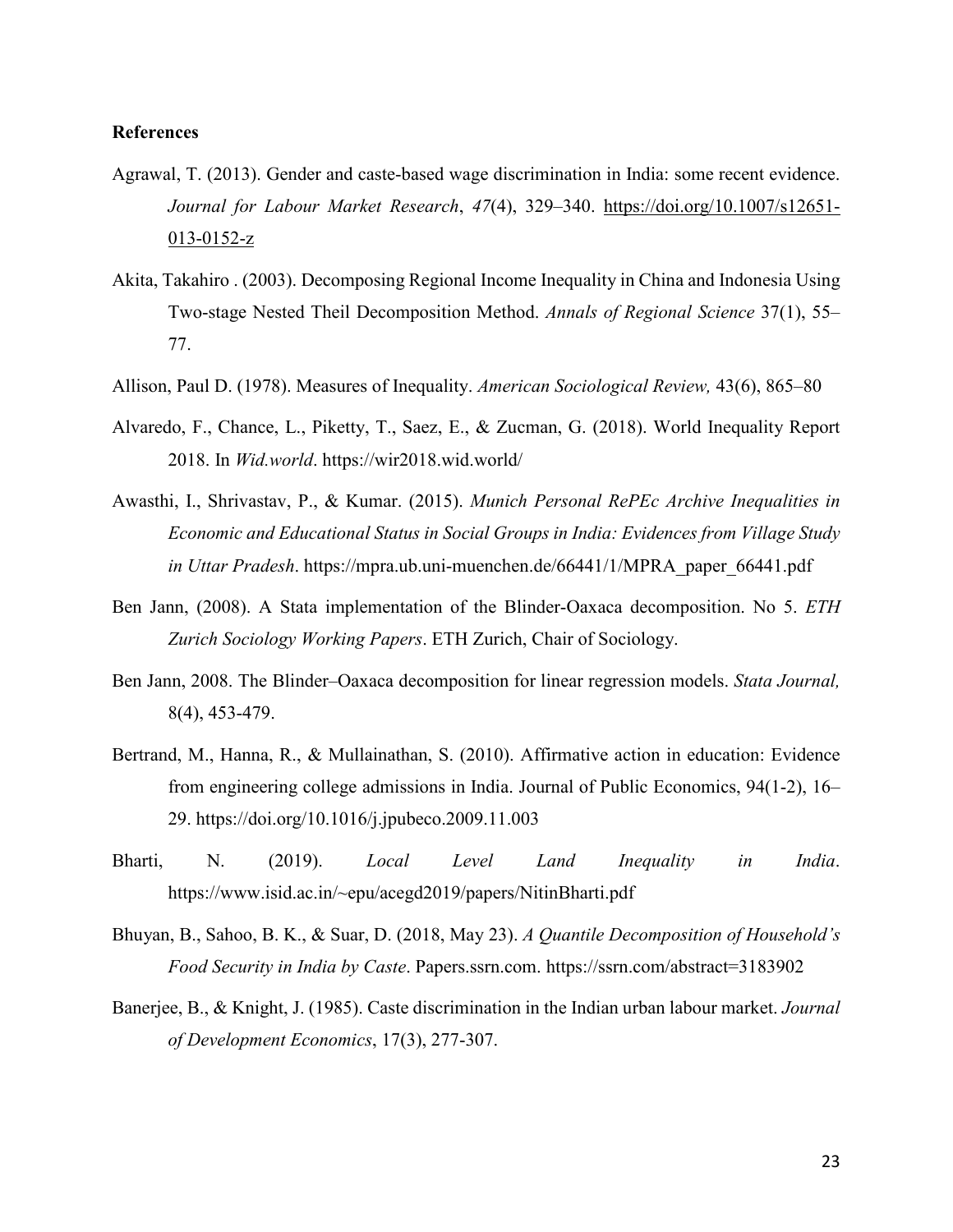## **References**

- Agrawal, T. (2013). Gender and caste-based wage discrimination in India: some recent evidence. *Journal for Labour Market Research*, *47*(4), 329–340. https://doi.org/10.1007/s12651-  $013-0152-z$
- Akita, Takahiro . (2003). Decomposing Regional Income Inequality in China and Indonesia Using Two-stage Nested Theil Decomposition Method. *Annals of Regional Science* 37(1), 55– 77.
- Allison, Paul D. (1978). Measures of Inequality. *American Sociological Review,* 43(6), 865–80
- Alvaredo, F., Chance, L., Piketty, T., Saez, E., & Zucman, G. (2018). World Inequality Report 2018. In *Wid.world*. https://wir2018.wid.world/
- Awasthi, I., Shrivastav, P., & Kumar. (2015). *Munich Personal RePEc Archive Inequalities in Economic and Educational Status in Social Groups in India: Evidences from Village Study in Uttar Pradesh*. https://mpra.ub.uni-muenchen.de/66441/1/MPRA\_paper\_66441.pdf
- Ben Jann, (2008). A Stata implementation of the Blinder-Oaxaca decomposition. No 5. *ETH Zurich Sociology Working Papers*. ETH Zurich, Chair of Sociology.
- Ben Jann, 2008. The Blinder–Oaxaca decomposition for linear regression models. *Stata Journal,*  8(4), 453-479.
- Bertrand, M., Hanna, R., & Mullainathan, S. (2010). Affirmative action in education: Evidence from engineering college admissions in India. Journal of Public Economics, 94(1-2), 16– 29. https://doi.org/10.1016/j.jpubeco.2009.11.003
- Bharti, N. (2019). *Local Level Land Inequality in India*. https://www.isid.ac.in/~epu/acegd2019/papers/NitinBharti.pdf
- Bhuyan, B., Sahoo, B. K., & Suar, D. (2018, May 23). *A Quantile Decomposition of Household's Food Security in India by Caste*. Papers.ssrn.com. https://ssrn.com/abstract=3183902
- Banerjee, B., & Knight, J. (1985). Caste discrimination in the Indian urban labour market. *Journal of Development Economics*, 17(3), 277-307.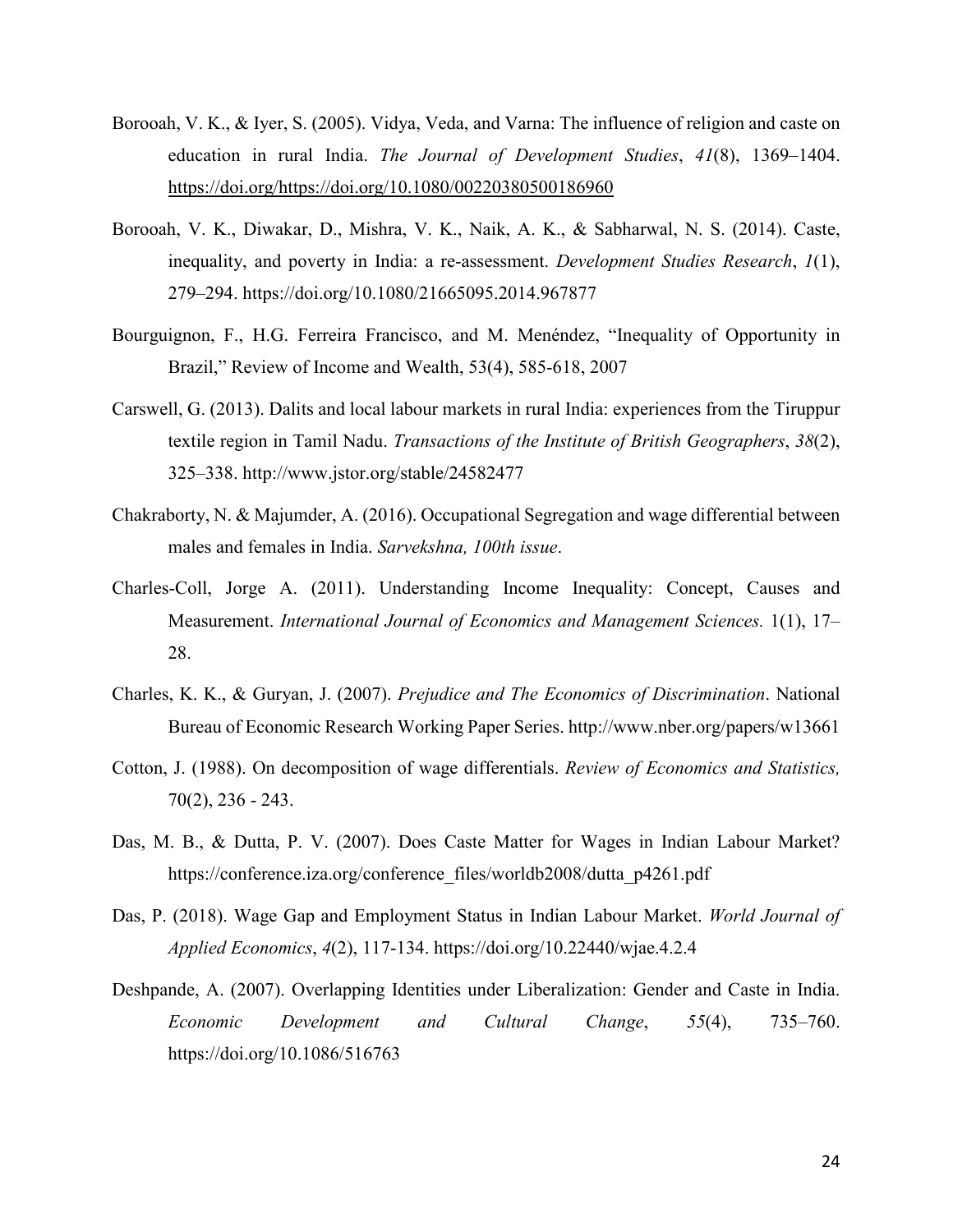- Borooah, V. K., & Iyer, S. (2005). Vidya, Veda, and Varna: The influence of religion and caste on education in rural India. *The Journal of Development Studies*, *41*(8), 1369–1404. https://doi.org/https://doi.org/10.1080/00220380500186960
- Borooah, V. K., Diwakar, D., Mishra, V. K., Naik, A. K., & Sabharwal, N. S. (2014). Caste, inequality, and poverty in India: a re-assessment. *Development Studies Research*, *1*(1), 279–294. https://doi.org/10.1080/21665095.2014.967877
- Bourguignon, F., H.G. Ferreira Francisco, and M. Menéndez, "Inequality of Opportunity in Brazil," Review of Income and Wealth, 53(4), 585-618, 2007
- Carswell, G. (2013). Dalits and local labour markets in rural India: experiences from the Tiruppur textile region in Tamil Nadu. *Transactions of the Institute of British Geographers*, *38*(2), 325–338. http://www.jstor.org/stable/24582477
- Chakraborty, N. & Majumder, A. (2016). Occupational Segregation and wage differential between males and females in India. *Sarvekshna, 100th issue*.
- Charles-Coll, Jorge A. (2011). Understanding Income Inequality: Concept, Causes and Measurement. *International Journal of Economics and Management Sciences.* 1(1), 17– 28.
- Charles, K. K., & Guryan, J. (2007). *Prejudice and The Economics of Discrimination*. National Bureau of Economic Research Working Paper Series. http://www.nber.org/papers/w13661
- Cotton, J. (1988). On decomposition of wage differentials. *Review of Economics and Statistics,* 70(2), 236 - 243.
- Das, M. B., & Dutta, P. V. (2007). Does Caste Matter for Wages in Indian Labour Market? https://conference.iza.org/conference\_files/worldb2008/dutta\_p4261.pdf
- Das, P. (2018). Wage Gap and Employment Status in Indian Labour Market. *World Journal of Applied Economics*, *4*(2), 117-134. https://doi.org/10.22440/wjae.4.2.4
- Deshpande, A. (2007). Overlapping Identities under Liberalization: Gender and Caste in India. *Economic Development and Cultural Change*, *55*(4), 735–760. https://doi.org/10.1086/516763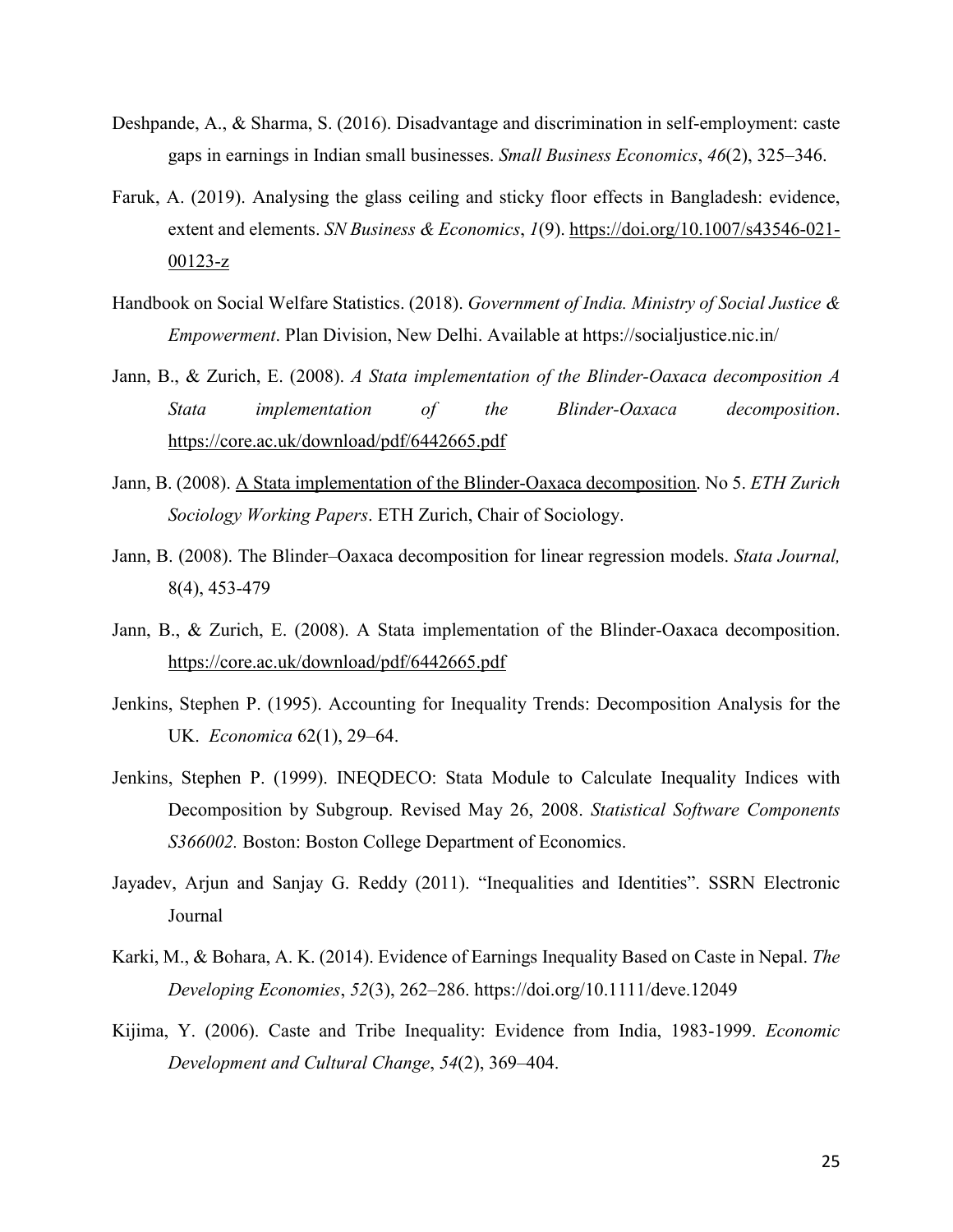- Deshpande, A., & Sharma, S. (2016). Disadvantage and discrimination in self-employment: caste gaps in earnings in Indian small businesses. *Small Business Economics*, *46*(2), 325–346.
- Faruk, A. (2019). Analysing the glass ceiling and sticky floor effects in Bangladesh: evidence, extent and elements. *SN Business & Economics*, *1*(9). https://doi.org/10.1007/s43546-021-00123-z
- Handbook on Social Welfare Statistics. (2018). *Government of India. Ministry of Social Justice & Empowerment*. Plan Division, New Delhi. Available at https://socialjustice.nic.in/
- Jann, B., & Zurich, E. (2008). *A Stata implementation of the Blinder-Oaxaca decomposition A Stata implementation of the Blinder-Oaxaca decomposition*. https://core.ac.uk/download/pdf/6442665.pdf
- Jann, B. (2008). A Stata implementation of the Blinder-Oaxaca decomposition. No 5. *ETH Zurich Sociology Working Papers*. ETH Zurich, Chair of Sociology.
- Jann, B. (2008). The Blinder–Oaxaca decomposition for linear regression models. *Stata Journal,*  8(4), 453-479
- Jann, B., & Zurich, E. (2008). A Stata implementation of the Blinder-Oaxaca decomposition. https://core.ac.uk/download/pdf/6442665.pdf
- Jenkins, Stephen P. (1995). Accounting for Inequality Trends: Decomposition Analysis for the UK. *Economica* 62(1), 29–64.
- Jenkins, Stephen P. (1999). INEQDECO: Stata Module to Calculate Inequality Indices with Decomposition by Subgroup. Revised May 26, 2008. *Statistical Software Components S366002.* Boston: Boston College Department of Economics.
- Jayadev, Arjun and Sanjay G. Reddy (2011). "Inequalities and Identities". SSRN Electronic Journal
- Karki, M., & Bohara, A. K. (2014). Evidence of Earnings Inequality Based on Caste in Nepal. *The Developing Economies*, *52*(3), 262–286. https://doi.org/10.1111/deve.12049
- Kijima, Y. (2006). Caste and Tribe Inequality: Evidence from India, 1983-1999. *Economic Development and Cultural Change*, *54*(2), 369–404.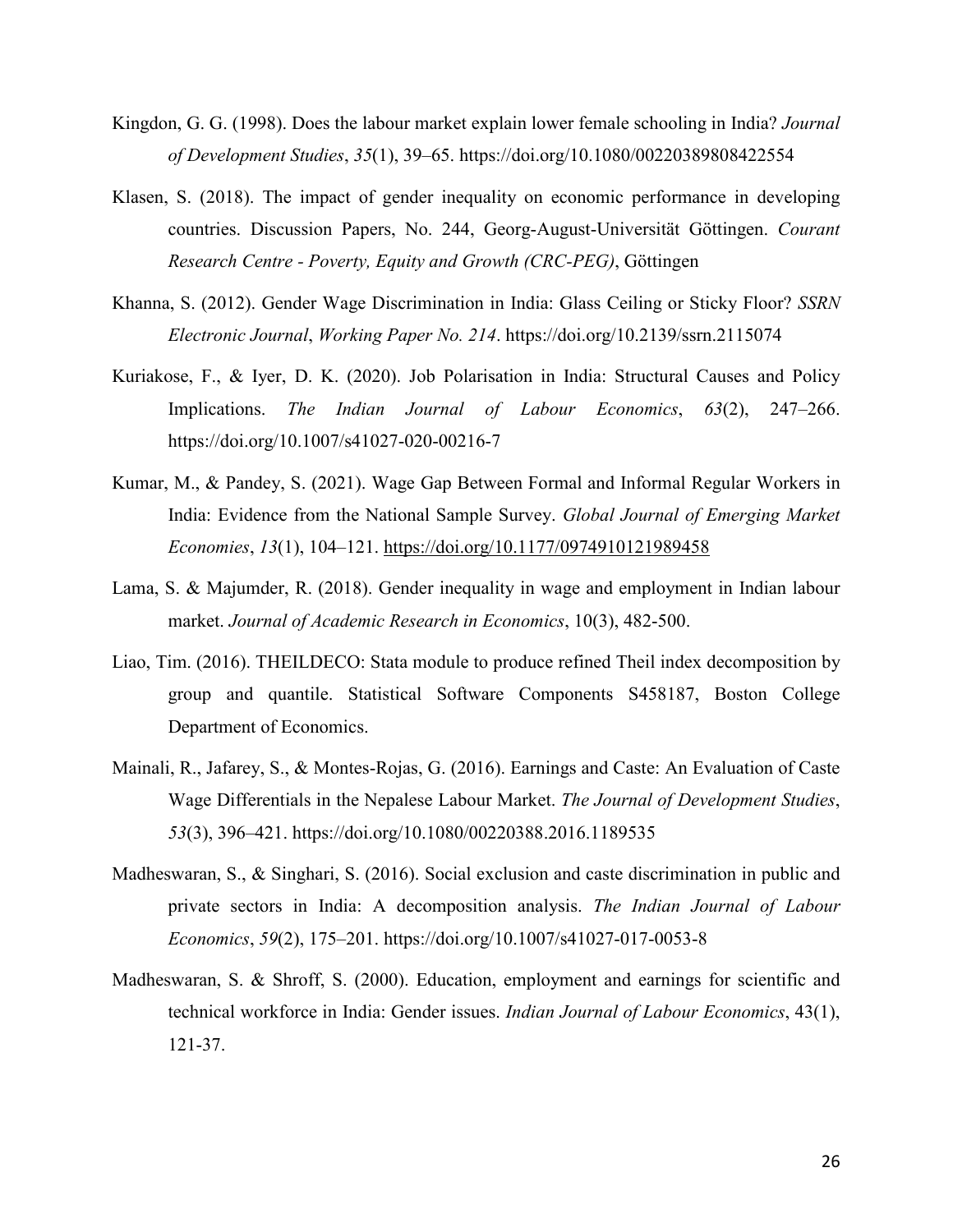- Kingdon, G. G. (1998). Does the labour market explain lower female schooling in India? *Journal of Development Studies*, *35*(1), 39–65. https://doi.org/10.1080/00220389808422554
- Klasen, S. (2018). The impact of gender inequality on economic performance in developing countries. Discussion Papers, No. 244, Georg-August-Universität Göttingen. *Courant Research Centre - Poverty, Equity and Growth (CRC-PEG)*, Göttingen
- Khanna, S. (2012). Gender Wage Discrimination in India: Glass Ceiling or Sticky Floor? *SSRN Electronic Journal*, *Working Paper No. 214*. https://doi.org/10.2139/ssrn.2115074
- Kuriakose, F., & Iyer, D. K. (2020). Job Polarisation in India: Structural Causes and Policy Implications. *The Indian Journal of Labour Economics*, *63*(2), 247–266. https://doi.org/10.1007/s41027-020-00216-7
- Kumar, M., & Pandey, S. (2021). Wage Gap Between Formal and Informal Regular Workers in India: Evidence from the National Sample Survey. *Global Journal of Emerging Market Economies*, *13*(1), 104–121. https://doi.org/10.1177/0974910121989458
- Lama, S. & Majumder, R. (2018). Gender inequality in wage and employment in Indian labour market. *Journal of Academic Research in Economics*, 10(3), 482-500.
- Liao, Tim. (2016). THEILDECO: Stata module to produce refined Theil index decomposition by group and quantile. Statistical Software Components S458187, Boston College Department of Economics.
- Mainali, R., Jafarey, S., & Montes-Rojas, G. (2016). Earnings and Caste: An Evaluation of Caste Wage Differentials in the Nepalese Labour Market. *The Journal of Development Studies*, *53*(3), 396–421. https://doi.org/10.1080/00220388.2016.1189535
- Madheswaran, S., & Singhari, S. (2016). Social exclusion and caste discrimination in public and private sectors in India: A decomposition analysis. *The Indian Journal of Labour Economics*, *59*(2), 175–201. https://doi.org/10.1007/s41027-017-0053-8
- Madheswaran, S. & Shroff, S. (2000). Education, employment and earnings for scientific and technical workforce in India: Gender issues. *Indian Journal of Labour Economics*, 43(1), 121-37.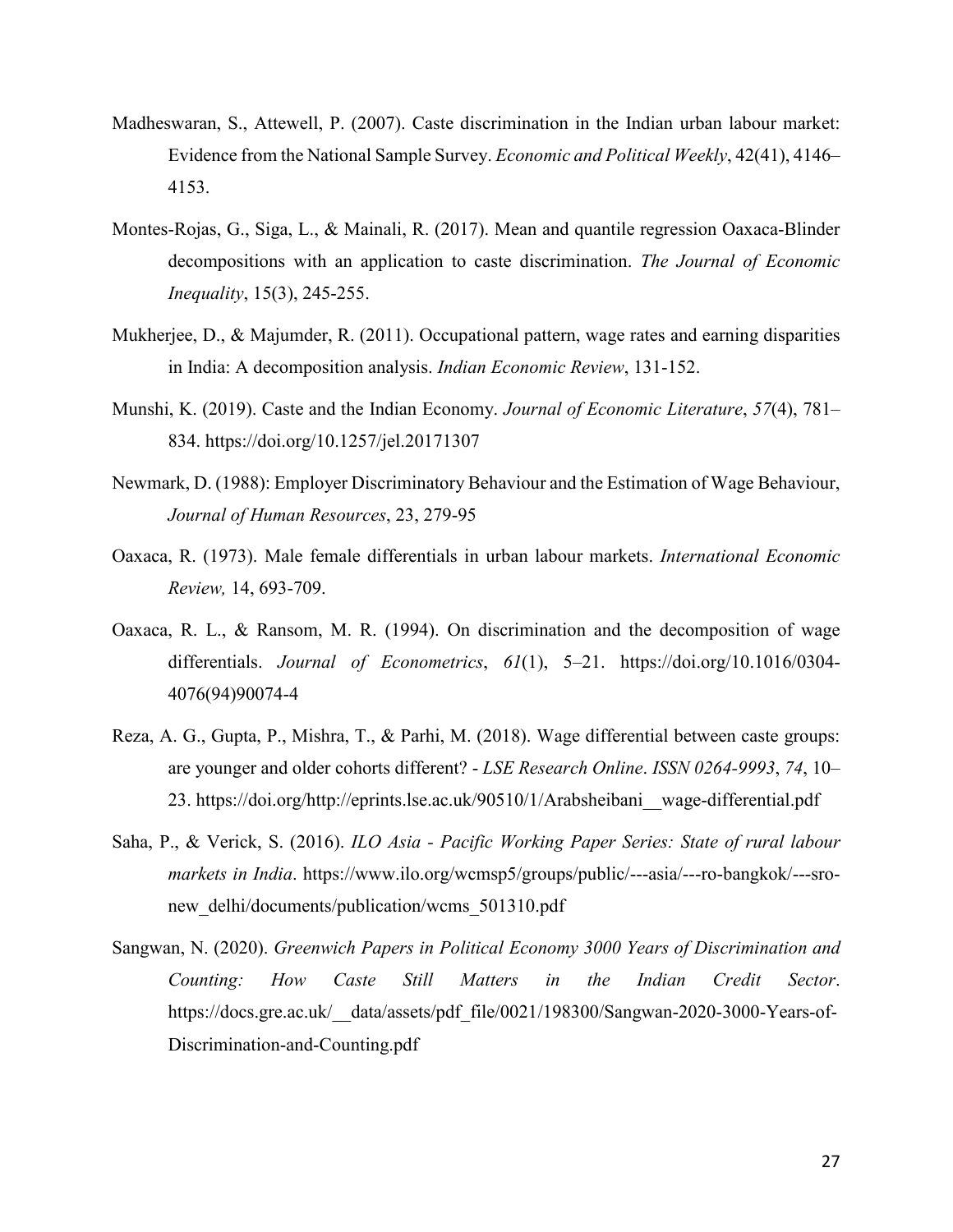- Madheswaran, S., Attewell, P. (2007). Caste discrimination in the Indian urban labour market: Evidence from the National Sample Survey. *Economic and Political Weekly*, 42(41), 4146– 4153.
- Montes-Rojas, G., Siga, L., & Mainali, R. (2017). Mean and quantile regression Oaxaca-Blinder decompositions with an application to caste discrimination. *The Journal of Economic Inequality*, 15(3), 245-255.
- Mukherjee, D., & Majumder, R. (2011). Occupational pattern, wage rates and earning disparities in India: A decomposition analysis. *Indian Economic Review*, 131-152.
- Munshi, K. (2019). Caste and the Indian Economy. *Journal of Economic Literature*, *57*(4), 781– 834. https://doi.org/10.1257/jel.20171307
- Newmark, D. (1988): Employer Discriminatory Behaviour and the Estimation of Wage Behaviour, *Journal of Human Resources*, 23, 279-95
- Oaxaca, R. (1973). Male female differentials in urban labour markets. *International Economic Review,* 14, 693-709.
- Oaxaca, R. L., & Ransom, M. R. (1994). On discrimination and the decomposition of wage differentials. *Journal of Econometrics*, *61*(1), 5–21. https://doi.org/10.1016/0304- 4076(94)90074-4
- Reza, A. G., Gupta, P., Mishra, T., & Parhi, M. (2018). Wage differential between caste groups: are younger and older cohorts different? - *LSE Research Online*. *ISSN 0264-9993*, *74*, 10– 23. https://doi.org/http://eprints.lse.ac.uk/90510/1/Arabsheibani\_\_wage-differential.pdf
- Saha, P., & Verick, S. (2016). *ILO Asia Pacific Working Paper Series: State of rural labour markets in India*. https://www.ilo.org/wcmsp5/groups/public/---asia/---ro-bangkok/---sronew delhi/documents/publication/wcms 501310.pdf
- Sangwan, N. (2020). *Greenwich Papers in Political Economy 3000 Years of Discrimination and Counting: How Caste Still Matters in the Indian Credit Sector*. https://docs.gre.ac.uk/\_\_data/assets/pdf\_file/0021/198300/Sangwan-2020-3000-Years-of-Discrimination-and-Counting.pdf